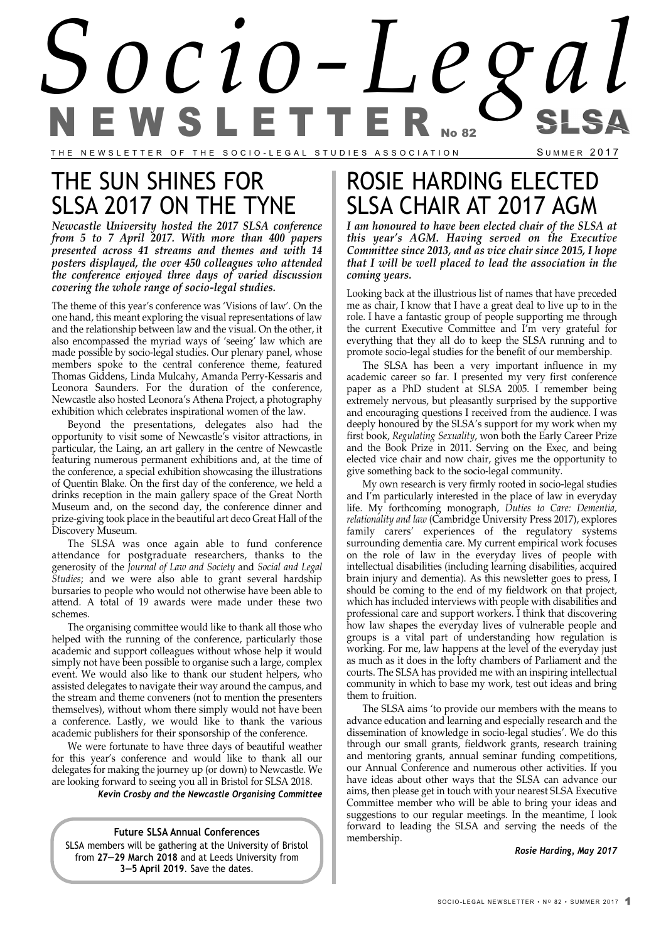# *So c i o -Lega l* N E W S L E T T E R No 82

N E W SLETTER OF THE SOCIO-LEGAL STUDIES ASSOCIATION SUMMER 2017

## THE SUN SHINES FOR SLSA 2017 ON THE TYNE

*Newcastle University hosted the 2017 SLSA conference from 5 to 7 April 2017. With more than 400 papers presented across 41 streams and themes and with 14 posters displayed, the over 450 colleagues who attended the conference enjoyed three days of varied discussion covering the whole range of socio-legal studies.*

The theme of this year's conference was 'Visions of law'. On the one hand, this meant exploring the visual representations of law and the relationship between law and the visual. On the other, it also encompassed the myriad ways of 'seeing' law which are made possible by socio-legal studies. Our plenary panel, whose members spoke to the central conference theme, featured Thomas Giddens, Linda Mulcahy, Amanda Perry-Kessaris and Leonora Saunders. For the duration of the conference, Newcastle also hosted Leonora's Athena Project, a photography exhibition which celebrates inspirational women of the law.

Beyond the presentations, delegates also had the opportunity to visit some of Newcastle's visitor attractions, in particular, the Laing, an art gallery in the centre of Newcastle featuring numerous permanent exhibitions and, at the time of the conference, a special exhibition showcasing the illustrations of Quentin Blake. On the first day of the conference, we held a drinks reception in the main gallery space of the Great North Museum and, on the second day, the conference dinner and prize-giving took place in the beautiful art deco Great Hall of the Discovery Museum.

The SLSA was once again able to fund conference attendance for postgraduate researchers, thanks to the generosity of the *Journal of Law and Society* and *Social and Legal Studies*; and we were also able to grant several hardship bursaries to people who would not otherwise have been able to attend. A total of 19 awards were made under these two schemes.

The organising committee would like to thank all those who helped with the running of the conference, particularly those academic and support colleagues without whose help it would simply not have been possible to organise such a large, complex event. We would also like to thank our student helpers, who assisted delegates to navigate their way around the campus, and the stream and theme conveners (not to mention the presenters themselves), without whom there simply would not have been a conference. Lastly, we would like to thank the various academic publishers for their sponsorship of the conference.

We were fortunate to have three days of beautiful weather for this year's conference and would like to thank all our delegates for making the journey up (or down) to Newcastle. We are looking forward to seeing you all in Bristol for SLSA 2018.

*Kevin Crosby and the Newcastle Organising Committee*

#### **Future SLSA Annual Conferences**

SLSA members will be gathering at the University of Bristol from **27—29 March 2018** and at Leeds University from **3—5 April 2019**. Save the dates.

## ROSIE HARDING ELECTED SLSA CHAIR AT 2017 AGM

*I am honoured to have been elected chair of the SLSA at this year's AGM. Having served on the Executive Committee since 2013, and as vice chair since 2015, I hope that I will be well placed to lead the association in the coming years.*

Looking back at the illustrious list of names that have preceded me as chair, I know that I have a great deal to live up to in the role. I have a fantastic group of people supporting me through the current Executive Committee and I'm very grateful for everything that they all do to keep the SLSA running and to promote socio-legal studies for the benefit of our membership.

The SLSA has been a very important influence in my academic career so far. I presented my very first conference paper as a PhD student at SLSA 2005. I remember being extremely nervous, but pleasantly surprised by the supportive and encouraging questions I received from the audience. I was deeply honoured by the SLSA's support for my work when my first book, *Regulating Sexuality*, won both the Early Career Prize and the Book Prize in 2011. Serving on the Exec, and being elected vice chair and now chair, gives me the opportunity to give something back to the socio-legal community.

My own research is very firmly rooted in socio-legal studies and I'm particularly interested in the place of law in everyday life. My forthcoming monograph, *Duties to Care: Dementia, relationality and law* (Cambridge University Press 2017), explores family carers' experiences of the regulatory systems surrounding dementia care. My current empirical work focuses on the role of law in the everyday lives of people with intellectual disabilities (including learning disabilities, acquired brain injury and dementia). As this newsletter goes to press, I should be coming to the end of my fieldwork on that project, which has included interviews with people with disabilities and professional care and support workers. I think that discovering how law shapes the everyday lives of vulnerable people and groups is a vital part of understanding how regulation is working. For me, law happens at the level of the everyday just as much as it does in the lofty chambers of Parliament and the courts. The SLSA has provided me with an inspiring intellectual community in which to base my work, test out ideas and bring them to fruition.

The SLSA aims 'to provide our members with the means to advance education and learning and especially research and the dissemination of knowledge in socio-legal studies'. We do this through our small grants, fieldwork grants, research training and mentoring grants, annual seminar funding competitions, our Annual Conference and numerous other activities. If you have ideas about other ways that the SLSA can advance our aims, then please get in touch with your nearest SLSA Executive Committee member who will be able to bring your ideas and suggestions to our regular meetings. In the meantime, I look forward to leading the SLSA and serving the needs of the membership.

*Rosie Harding, May 2017*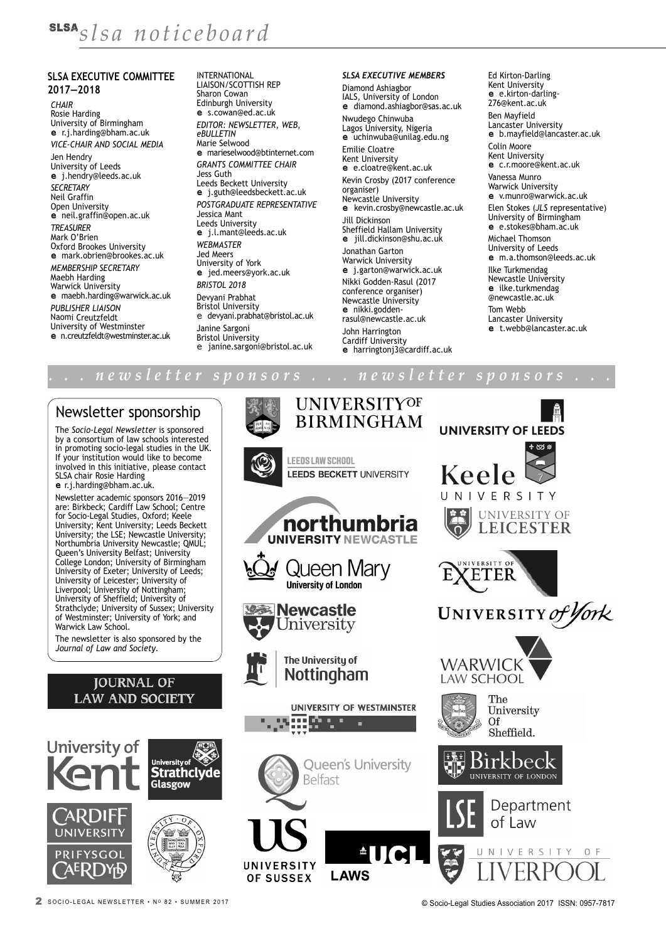#### **SLSA EXECUTIVE COMMITTEE 2017—2018**

*CHAIR* Rosie Harding University of Birmingham **<sup>e</sup>** r.j.harding@bham.ac.uk *VICE-CHAIR AND SOCIAL MEDIA* Jen Hendry University of Leeds **<sup>e</sup>** j.hendry@leeds.ac.uk *SECRETARY* Neil Graffin Open University **<sup>e</sup>** neil.graffin@open.ac.uk *TREASURER* Mark O'Brien Oxford Brookes University **e** mark.obrien@brookes.ac.uk *MEMBERSHIP SECRETARY* Maebh Harding Warwick University **<sup>e</sup>** maebh.harding@warwick.ac.uk *PUBLISHER LIAISON* Naomi Creutzfeldt University of Westminster **e** n.creutzfeldt@westminster.ac.uk

INTERNATIONAL LIAISON/SCOTTISH REP Sharon Cowan Edinburgh University **e** s.cowan@ed.ac.uk *EDITOR: NEWSLETTER, WEB, eBULLETIN* Marie Selwood **e** marieselwood@btinternet.com *GRANTS COMMITTEE CHAIR* Jess Guth Leeds Beckett University **e** j.guth@leedsbeckett.ac.uk *POSTGRADUATE REPRESENTATIVE* Jessica Mant Leeds University **e** j.l.mant@leeds.ac.uk *WEBMASTER* Jed Meers University of York **e** jed.meers@york.ac.uk *BRISTOL 2018* Devyani Prabhat Bristol University e devyani.prabhat@bristol.ac.uk Janine Sargoni Bristol University e janine.sargoni@bristol.ac.uk

#### *SLSA EXECUTIVE MEMBERS*

Diamond Ashiagbor IALS, University of London **e** diamond.ashiagbor@sas.ac.uk Nwudego Chinwuba Lagos University, Nigeria **e** uchinwuba@unilag.edu.ng Emilie Cloatre Kent University **e** e.cloatre@kent.ac.uk Kevin Crosby (2017 conference organiser) Newcastle University **e** kevin.crosby@newcastle.ac.uk Jill Dickinson Sheffield Hallam University **e** jill.dickinson@shu.ac.uk Jonathan Garton Warwick University **e** j.garton@warwick.ac.uk Nikki Godden-Rasul (2017 conference organiser) Newcastle University **e** nikki.goddenrasul@newcastle.ac.uk John Harrington Cardiff University **e** harringtonj3@cardiff.ac.uk

Ed Kirton-Darling Kent University **e** e.kirton-darling-276@kent.ac.uk Ben Mayfield Lancaster University **e** b.mayfield@lancaster.ac.uk

Colin Moore Kent University **e** c.r.moore@kent.ac.uk Vanessa Munro

Warwick University **e** v.munro@warwick.ac.uk Elen Stokes (*JLS* representative)

University of Birmingham **e** e.stokes@bham.ac.uk Michael Thomson University of Leeds

**e** m.a.thomson@leeds.ac.uk Ilke Turkmendag Newcastle University **e** ilke.turkmendag

@newcastle.ac.uk Tom Webb

Lancaster University **e** t.webb@lancaster.ac.uk

### newsletter sponsors...newsletter sponsors..

UNIVERSITY

**OF SUSSEX** 

**LAWS** 

## Newsletter sponsorship

The *Socio-Legal Newsletter* is sponsored by a consortium of law schools interested in promoting socio-legal studies in the UK. If your institution would like to become involved in this initiative, please contact SLSA chair Rosie Harding **e** r.j.harding@bham.ac.uk.

Newsletter academic sponsors 2016—2019 are: Birkbeck; Cardiff Law School; Centre for Socio-Legal Studies, Oxford; Keele University; Kent University; Leeds Beckett University; the LSE; Newcastle University; Northumbria University Newcastle; QMUL; Queen's University Belfast; University College London; University of Birmingham University of Exeter; University of Leeds; University of Leicester; University of Liverpool; University of Nottingham; University of Sheffield; University of Strathclyde; University of Sussex; University of Westminster; University of York; and Warwick Law School.

The newsletter is also sponsored by the *Journal of Law and Society*.

## **JOURNAL OF LAW AND SOCIETY**





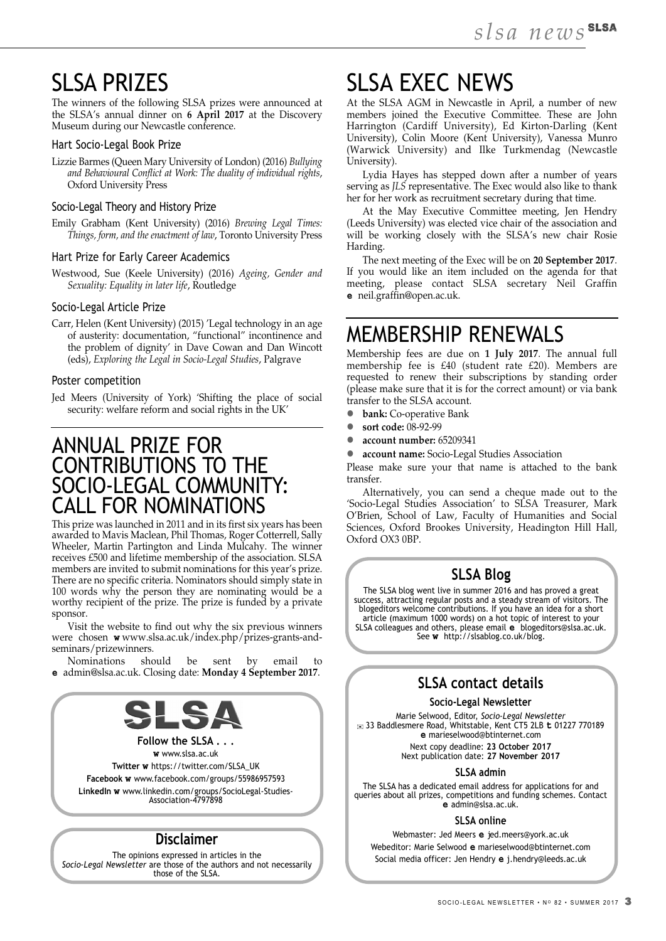## SLSA PRIZES

The winners of the following SLSA prizes were announced at the SLSA's annual dinner on **6 April 2017** at the Discovery Museum during our Newcastle conference.

#### Hart Socio-Legal Book Prize

Lizzie Barmes (Queen Mary University of London) (2016) *Bullying and Behavioural Conflict at Work: The duality of individual rights*, Oxford University Press

#### Socio-Legal Theory and History Prize

Emily Grabham (Kent University) (2016) *Brewing Legal Times: Things, form, and the enactment of law*, Toronto University Press

#### Hart Prize for Early Career Academics

Westwood, Sue (Keele University) (2016) *Ageing, Gender and Sexuality: Equality in later life*, Routledge

#### Socio-Legal Article Prize

Carr, Helen (Kent University) (2015) 'Legal technology in an age of austerity: documentation, "functional" incontinence and the problem of dignity' in Dave Cowan and Dan Wincott (eds), *Exploring the Legal in Socio-Legal Studies*, Palgrave

#### Poster competition

Jed Meers (University of York) 'Shifting the place of social security: welfare reform and social rights in the UK'

## ANNUAL PRIZE FOR CONTRIBUTIONS TO THE SOCIO-LEGAL COMMUNITY: ALL FOR NOMINATIONS:

This prize was launched in 2011 and in its first six years has been awarded to Mavis Maclean, Phil Thomas, Roger Cotterrell, Sally Wheeler, Martin Partington and Linda Mulcahy. The winner receives £500 and lifetime membership of the association. SLSA members are invited to submit nominations for this year's prize. There are no specific criteria. Nominators should simply state in 100 words why the person they are nominating would be a worthy recipient of the prize. The prize is funded by a private sponsor.

Visit the website to find out why the six previous winners were chosen **w** www.slsa.ac.uk/index.php/prizes-grants-andseminars/prizewinners.

Nominations should be sent by email to **e** admin@slsa.ac.uk. Closing date: **Monday 4 September 2017**.



## **Disclaimer**

The opinions expressed in articles in the *Socio-Legal Newsletter* are those of the authors and not necessarily those of the SLSA.

## SLSA EXEC NEWS

At the SLSA AGM in Newcastle in April, a number of new members joined the Executive Committee. These are John Harrington (Cardiff University), Ed Kirton-Darling (Kent University), Colin Moore (Kent University), Vanessa Munro (Warwick University) and Ilke Turkmendag (Newcastle University).

Lydia Hayes has stepped down after a number of years serving as *JLS* representative. The Exec would also like to thank her for her work as recruitment secretary during that time.

At the May Executive Committee meeting, Jen Hendry (Leeds University) was elected vice chair of the association and will be working closely with the SLSA's new chair Rosie Harding.

The next meeting of the Exec will be on **20 September 2017**. If you would like an item included on the agenda for that meeting, please contact SLSA secretary Neil Graffin **e** neil.graffin@open.ac.uk.

## MEMBERSHIP RENEWALS

Membership fees are due on **1 July 2017**. The annual full membership fee is £40 (student rate £20). Members are requested to renew their subscriptions by standing order (please make sure that it is for the correct amount) or via bank transfer to the SLSA account.

- **bank:** Co-operative Bank
- **sort code:** 08-92-99
- l **account number:** 65209341

**e** account name: Socio-Legal Studies Association

Please make sure your that name is attached to the bank transfer.

Alternatively, you can send a cheque made out to the 'Socio-Legal Studies Association' to SLSA Treasurer, Mark O'Brien, School of Law, Faculty of Humanities and Social Sciences, Oxford Brookes University, Headington Hill Hall, Oxford OX3 0BP.

## **SLSA Blog**

The SLSA blog went live in summer 2016 and has proved a great success, attracting regular posts and a steady stream of visitors. The blogeditors welcome contributions. If you have an idea for a short article (maximum 1000 words) on a hot topic of interest to your SLSA colleagues and others, please email **e** blogeditors@slsa.ac.uk. See **w** http://slsablog.co.uk/blog.

## **SLSA contact details**

#### **Socio-Legal Newsletter**

Marie Selwood, Editor, *Socio-Legal Newsletter* ) 33 Baddlesmere Road, Whitstable, Kent CT5 2LB **t** 01227 770189 **e** marieselwood@btinternet.com Next copy deadline: **23 October 2017** Next publication date: **27 November 2017**

#### **SLSA admin**

The SLSA has a dedicated email address for applications for and queries about all prizes, competitions and funding schemes. Contact **e** admin@slsa.ac.uk.

#### **SLSA online**

Webmaster: Jed Meers **e** jed.meers@york.ac.uk Webeditor: Marie Selwood **e** marieselwood@btinternet.com Social media officer: Jen Hendry **e** j.hendry@leeds.ac.uk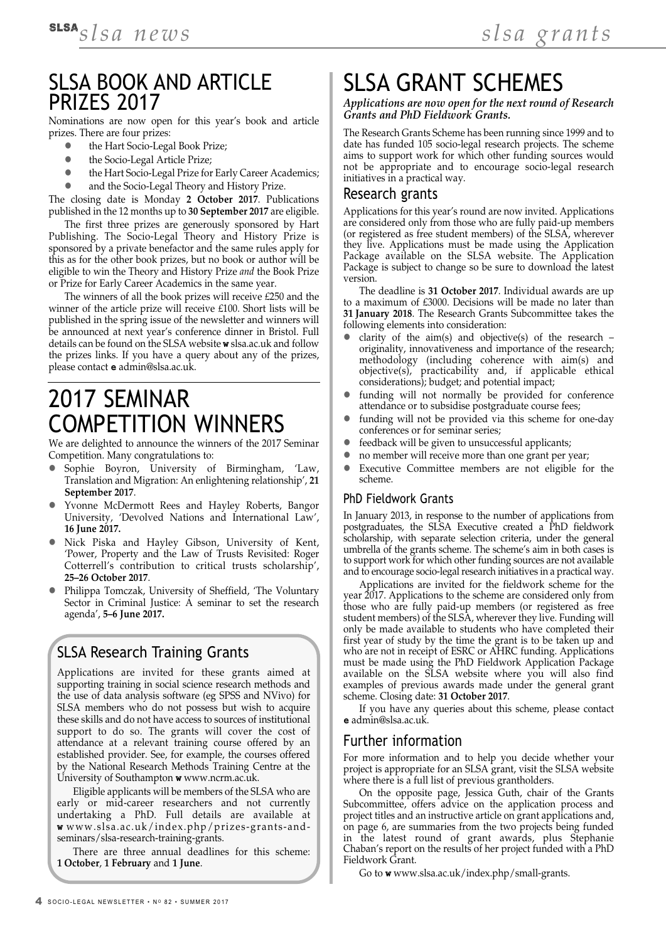## SLSA BOOK AND ARTICLE PRIZES 2017

Nominations are now open for this year's book and article prizes. There are four prizes:

- the Hart Socio-Legal Book Prize;
- the Socio-Legal Article Prize;
- **•** the Hart Socio-Legal Prize for Early Career Academics;
- and the Socio-Legal Theory and History Prize.

The closing date is Monday **2 October 2017**. Publications published in the 12 months up to **30 September 2017** are eligible.

The first three prizes are generously sponsored by Hart Publishing. The Socio-Legal Theory and History Prize is sponsored by a private benefactor and the same rules apply for this as for the other book prizes, but no book or author will be eligible to win the Theory and History Prize *and* the Book Prize or Prize for Early Career Academics in the same year.

The winners of all the book prizes will receive £250 and the winner of the article prize will receive £100. Short lists will be published in the spring issue of the newsletter and winners will be announced at next year's conference dinner in Bristol. Full details can be found on the SLSA website **w** slsa.ac.uk and follow the prizes links. If you have a query about any of the prizes, please contact **e** admin@slsa.ac.uk.

## 2017 SEMINAR COMPETITION WINNERS

We are delighted to announce the winners of the 2017 Seminar Competition. Many congratulations to:

- Sophie Boyron, University of Birmingham, 'Law, Translation and Migration: An enlightening relationship', **21 September 2017**.
- l Yvonne McDermott Rees and Hayley Roberts, Bangor University, 'Devolved Nations and International Law', **16 June 2017.**
- l Nick Piska and Hayley Gibson, University of Kent, 'Power, Property and the Law of Trusts Revisited: Roger Cotterrell's contribution to critical trusts scholarship', **25–26 October 2017**.
- l Philippa Tomczak, University of Sheffield, 'The Voluntary Sector in Criminal Justice: A seminar to set the research agenda', **5–6 June 2017.**

## SLSA Research Training Grants

Applications are invited for these grants aimed at supporting training in social science research methods and the use of data analysis software (eg SPSS and NVivo) for SLSA members who do not possess but wish to acquire these skills and do not have access to sources of institutional support to do so. The grants will cover the cost of attendance at a relevant training course offered by an established provider. See, for example, the courses offered by the National Research Methods Training Centre at the University of Southampton **w** www.ncrm.ac.uk.

Eligible applicants will be members of the SLSA who are early or mid-career researchers and not currently undertaking a PhD. Full details are available at www.slsa.ac.uk/index.php/prizes-grants-andseminars/slsa-research-training-grants.

There are three annual deadlines for this scheme: **1 October**, **1 February** and **1 June**.

## SLSA GRANT SCHEMES

*Applications are now open for the next round of Research Grants and PhD Fieldwork Grants.*

The Research Grants Scheme has been running since 1999 and to date has funded 105 socio-legal research projects. The scheme aims to support work for which other funding sources would not be appropriate and to encourage socio-legal research initiatives in a practical way.

### Research grants

Applications for this year's round are now invited. Applications are considered only from those who are fully paid-up members (or registered as free student members) of the SLSA, wherever they live. Applications must be made using the Application Package available on the SLSA website. The Application Package is subject to change so be sure to download the latest version.

The deadline is **31 October 2017**. Individual awards are up to a maximum of £3000. Decisions will be made no later than **31 January 2018**. The Research Grants Subcommittee takes the following elements into consideration:

- clarity of the aim(s) and objective(s) of the research  $$ originality, innovativeness and importance of the research; methodology (including coherence with aim(s) and  $objective(s)$ , practicability and, if applicable ethical considerations); budget; and potential impact;
- funding will not normally be provided for conference attendance or to subsidise postgraduate course fees;
- funding will not be provided via this scheme for one-day conferences or for seminar series;
- feedback will be given to unsuccessful applicants;
- l no member will receive more than one grant per year;
- Executive Committee members are not eligible for the scheme.

#### PhD Fieldwork Grants

In January 2013, in response to the number of applications from postgraduates, the SLSA Executive created a PhD fieldwork scholarship, with separate selection criteria, under the general umbrella of the grants scheme. The scheme's aim in both cases is to support work for which other funding sources are not available and to encourage socio-legal research initiatives in a practical way.

Applications are invited for the fieldwork scheme for the year 2017. Applications to the scheme are considered only from those who are fully paid-up members (or registered as free student members) of the SLSA, wherever they live. Funding will only be made available to students who have completed their first year of study by the time the grant is to be taken up and who are not in receipt of ESRC or AHRC funding. Applications must be made using the PhD Fieldwork Application Package available on the SLSA website where you will also find examples of previous awards made under the general grant scheme. Closing date: **31 October 2017**.

If you have any queries about this scheme, please contact **e** admin@slsa.ac.uk.

### Further information

For more information and to help you decide whether your project is appropriate for an SLSA grant, visit the SLSA website where there is a full list of previous grantholders.

On the opposite page, Jessica Guth, chair of the Grants Subcommittee, offers advice on the application process and project titles and an instructive article on grant applications and, on page 6, are summaries from the two projects being funded in the latest round of grant awards, plus Stephanie Chaban's report on the results of her project funded with a PhD Fieldwork Grant.

Go to **w** www.slsa.ac.uk/index.php/small-grants.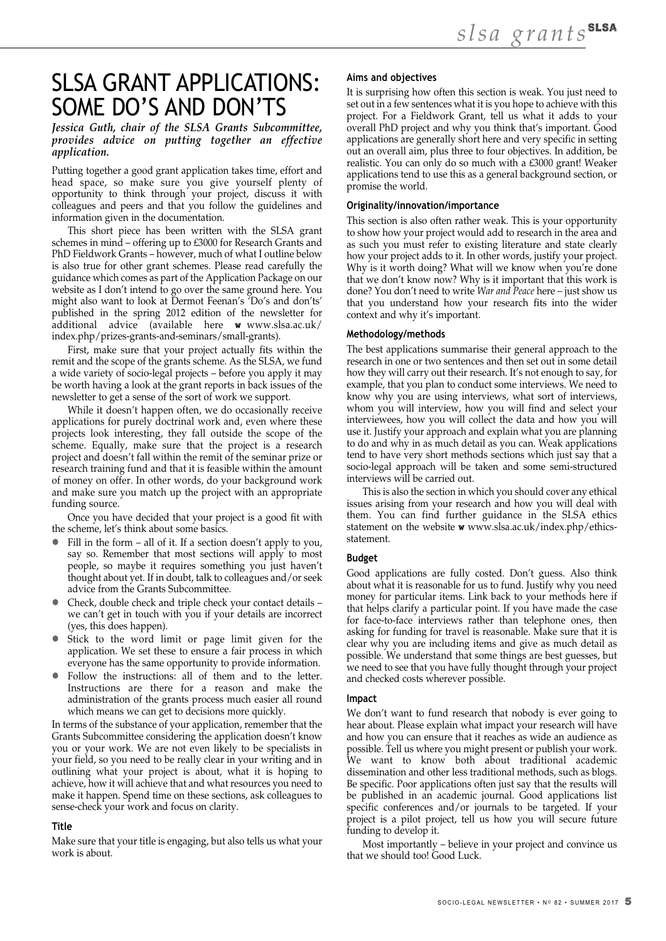## SLSA GRANT APPLICATIONS: SOME DO'S AND DON'TS

#### *Jessica Guth, chair of the SLSA Grants Subcommittee, provides advice on putting together an effective application.*

Putting together a good grant application takes time, effort and head space, so make sure you give yourself plenty of opportunity to think through your project, discuss it with colleagues and peers and that you follow the guidelines and information given in the documentation.

This short piece has been written with the SLSA grant schemes in mind – offering up to £3000 for Research Grants and PhD Fieldwork Grants – however, much of what I outline below is also true for other grant schemes. Please read carefully the guidance which comes as part of the Application Package on our website as I don't intend to go over the same ground here. You might also want to look at Dermot Feenan's 'Do's and don'ts' published in the spring 2012 edition of the newsletter for additional advice (available here **w** www.slsa.ac.uk/ index.php/prizes-grants-and-seminars/small-grants).

First, make sure that your project actually fits within the remit and the scope of the grants scheme. As the SLSA, we fund a wide variety of socio-legal projects – before you apply it may be worth having a look at the grant reports in back issues of the newsletter to get a sense of the sort of work we support.

While it doesn't happen often, we do occasionally receive applications for purely doctrinal work and, even where these projects look interesting, they fall outside the scope of the scheme. Equally, make sure that the project is a research project and doesn't fall within the remit of the seminar prize or research training fund and that it is feasible within the amount of money on offer. In other words, do your background work and make sure you match up the project with an appropriate funding source.

Once you have decided that your project is a good fit with the scheme, let's think about some basics.

- Fill in the form all of it. If a section doesn't apply to you, say so. Remember that most sections will apply to most people, so maybe it requires something you just haven't thought about yet. If in doubt, talk to colleagues and/or seek advice from the Grants Subcommittee.
- Check, double check and triple check your contact details we can't get in touch with you if your details are incorrect (yes, this does happen).
- Stick to the word limit or page limit given for the application. We set these to ensure a fair process in which everyone has the same opportunity to provide information.
- Follow the instructions: all of them and to the letter. Instructions are there for a reason and make the administration of the grants process much easier all round which means we can get to decisions more quickly.

In terms of the substance of your application, remember that the Grants Subcommittee considering the application doesn't know you or your work. We are not even likely to be specialists in your field, so you need to be really clear in your writing and in outlining what your project is about, what it is hoping to achieve, how it will achieve that and what resources you need to make it happen. Spend time on these sections, ask colleagues to sense-check your work and focus on clarity.

#### **Title**

Make sure that your title is engaging, but also tells us what your work is about.

#### **Aims and objectives**

It is surprising how often this section is weak. You just need to set out in a few sentences what it is you hope to achieve with this project. For a Fieldwork Grant, tell us what it adds to your overall PhD project and why you think that's important. Good applications are generally short here and very specific in setting out an overall aim, plus three to four objectives. In addition, be realistic. You can only do so much with a £3000 grant! Weaker applications tend to use this as a general background section, or promise the world.

#### **Originality/innovation/importance**

This section is also often rather weak. This is your opportunity to show how your project would add to research in the area and as such you must refer to existing literature and state clearly how your project adds to it. In other words, justify your project. Why is it worth doing? What will we know when you're done that we don't know now? Why is it important that this work is done? You don't need to write *War and Peace* here – just show us that you understand how your research fits into the wider context and why it's important.

#### **Methodology/methods**

The best applications summarise their general approach to the research in one or two sentences and then set out in some detail how they will carry out their research. It's not enough to say, for example, that you plan to conduct some interviews. We need to know why you are using interviews, what sort of interviews, whom you will interview, how you will find and select your interviewees, how you will collect the data and how you will use it. Justify your approach and explain what you are planning to do and why in as much detail as you can. Weak applications tend to have very short methods sections which just say that a socio-legal approach will be taken and some semi-structured interviews will be carried out.

This is also the section in which you should cover any ethical issues arising from your research and how you will deal with them. You can find further guidance in the SLSA ethics statement on the website **w** www.slsa.ac.uk/index.php/ethicsstatement.

#### **Budget**

Good applications are fully costed. Don't guess. Also think about what it is reasonable for us to fund. Justify why you need money for particular items. Link back to your methods here if that helps clarify a particular point. If you have made the case for face-to-face interviews rather than telephone ones, then asking for funding for travel is reasonable. Make sure that it is clear why you are including items and give as much detail as possible. We understand that some things are best guesses, but we need to see that you have fully thought through your project and checked costs wherever possible.

#### **Impact**

We don't want to fund research that nobody is ever going to hear about. Please explain what impact your research will have and how you can ensure that it reaches as wide an audience as possible. Tell us where you might present or publish your work. We want to know both about traditional academic dissemination and other less traditional methods, such as blogs. Be specific. Poor applications often just say that the results will be published in an academic journal. Good applications list specific conferences and/or journals to be targeted. If your project is a pilot project, tell us how you will secure future funding to develop it.

Most importantly – believe in your project and convince us that we should too! Good Luck.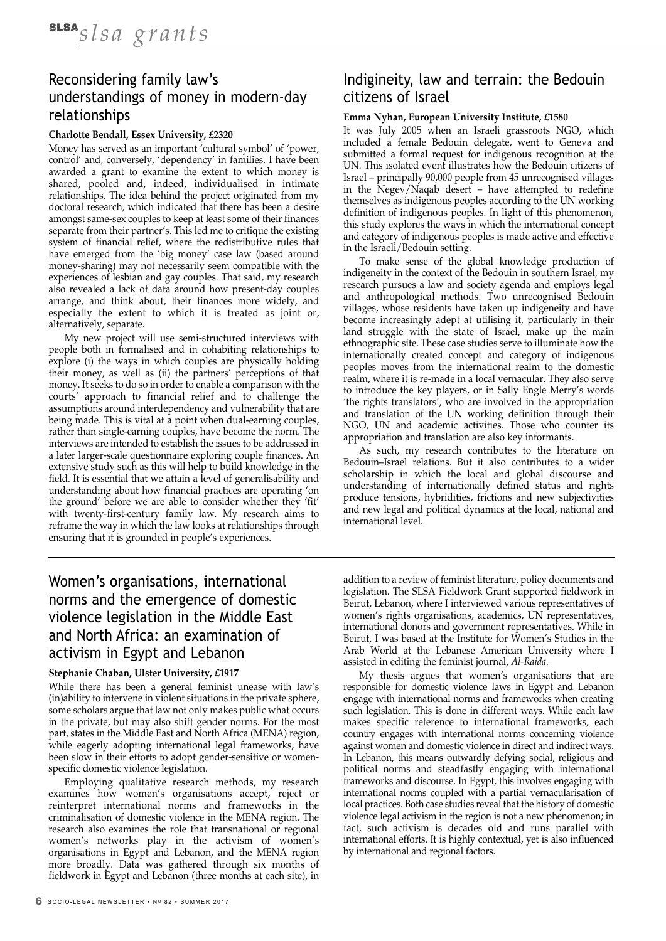## Reconsidering family law's understandings of money in modern-day relationships

#### **Charlotte Bendall, Essex University, £2320**

Money has served as an important 'cultural symbol' of 'power, control' and, conversely, 'dependency' in families. I have been awarded a grant to examine the extent to which money is shared, pooled and, indeed, individualised in intimate relationships. The idea behind the project originated from my doctoral research, which indicated that there has been a desire amongst same-sex couples to keep at least some of their finances separate from their partner's. This led me to critique the existing system of financial relief, where the redistributive rules that have emerged from the 'big money' case law (based around money-sharing) may not necessarily seem compatible with the experiences of lesbian and gay couples. That said, my research also revealed a lack of data around how present-day couples arrange, and think about, their finances more widely, and especially the extent to which it is treated as joint or, alternatively, separate.

My new project will use semi-structured interviews with people both in formalised and in cohabiting relationships to explore (i) the ways in which couples are physically holding their money, as well as (ii) the partners' perceptions of that money. It seeks to do so in order to enable a comparison with the courts' approach to financial relief and to challenge the assumptions around interdependency and vulnerability that are being made. This is vital at a point when dual-earning couples, rather than single-earning couples, have become the norm. The interviews are intended to establish the issues to be addressed in a later larger-scale questionnaire exploring couple finances. An extensive study such as this will help to build knowledge in the field. It is essential that we attain a level of generalisability and understanding about how financial practices are operating 'on the ground' before we are able to consider whether they 'fit' with twenty-first-century family law. My research aims to reframe the way in which the law looks at relationships through ensuring that it is grounded in people's experiences.

## Indigineity, law and terrain: the Bedouin citizens of Israel

#### **Emma Nyhan, European University Institute, £1580**

It was July 2005 when an Israeli grassroots NGO, which included a female Bedouin delegate, went to Geneva and submitted a formal request for indigenous recognition at the UN. This isolated event illustrates how the Bedouin citizens of Israel – principally 90,000 people from 45 unrecognised villages in the Negev/Naqab desert – have attempted to redefine themselves as indigenous peoples according to the UN working definition of indigenous peoples. In light of this phenomenon, this study explores the ways in which the international concept and category of indigenous peoples is made active and effective in the Israeli/Bedouin setting.

To make sense of the global knowledge production of indigeneity in the context of the Bedouin in southern Israel, my research pursues a law and society agenda and employs legal and anthropological methods. Two unrecognised Bedouin villages, whose residents have taken up indigeneity and have become increasingly adept at utilising it, particularly in their land struggle with the state of Israel, make up the main ethnographic site. These case studies serve to illuminate how the internationally created concept and category of indigenous peoples moves from the international realm to the domestic realm, where it is re-made in a local vernacular. They also serve to introduce the key players, or in Sally Engle Merry's words 'the rights translators', who are involved in the appropriation and translation of the UN working definition through their NGO, UN and academic activities. Those who counter its appropriation and translation are also key informants.

As such, my research contributes to the literature on Bedouin–Israel relations. But it also contributes to a wider scholarship in which the local and global discourse and understanding of internationally defined status and rights produce tensions, hybridities, frictions and new subjectivities and new legal and political dynamics at the local, national and international level.

## Women's organisations, international norms and the emergence of domestic violence legislation in the Middle East and North Africa: an examination of activism in Egypt and Lebanon

#### **Stephanie Chaban, Ulster University, £1917**

While there has been a general feminist unease with law's (in)ability to intervene in violent situations in the private sphere, some scholars argue that law not only makes public what occurs in the private, but may also shift gender norms. For the most part, states in the Middle East and North Africa (MENA) region, while eagerly adopting international legal frameworks, have been slow in their efforts to adopt gender-sensitive or womenspecific domestic violence legislation.

Employing qualitative research methods, my research examines how women's organisations accept, reject or reinterpret international norms and frameworks in the criminalisation of domestic violence in the MENA region. The research also examines the role that transnational or regional women's networks play in the activism of women's organisations in Egypt and Lebanon, and the MENA region more broadly. Data was gathered through six months of fieldwork in Egypt and Lebanon (three months at each site), in

addition to a review of feminist literature, policy documents and legislation. The SLSA Fieldwork Grant supported fieldwork in Beirut, Lebanon, where I interviewed various representatives of women's rights organisations, academics, UN representatives, international donors and government representatives. While in Beirut, I was based at the Institute for Women's Studies in the Arab World at the Lebanese American University where I assisted in editing the feminist journal, *Al-Raida*.

My thesis argues that women's organisations that are responsible for domestic violence laws in Egypt and Lebanon engage with international norms and frameworks when creating such legislation. This is done in different ways. While each law makes specific reference to international frameworks, each country engages with international norms concerning violence against women and domestic violence in direct and indirect ways. In Lebanon, this means outwardly defying social, religious and political norms and steadfastly engaging with international frameworks and discourse. In Egypt, this involves engaging with international norms coupled with a partial vernacularisation of local practices. Both case studies reveal that the history of domestic violence legal activism in the region is not a new phenomenon; in fact, such activism is decades old and runs parallel with international efforts. It is highly contextual, yet is also influenced by international and regional factors.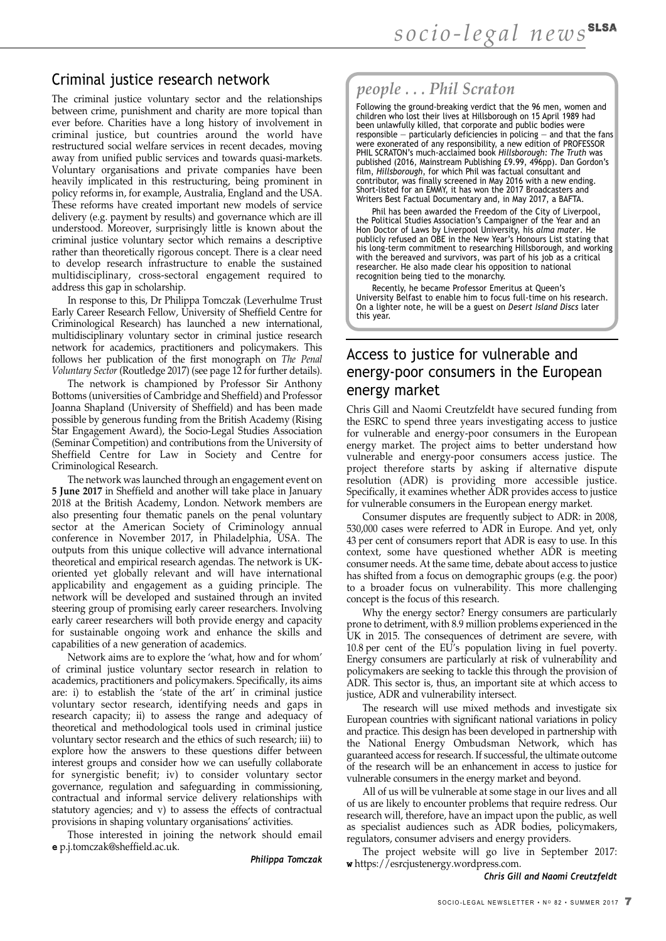### Criminal justice research network

The criminal justice voluntary sector and the relationships between crime, punishment and charity are more topical than ever before. Charities have a long history of involvement in criminal justice, but countries around the world have restructured social welfare services in recent decades, moving away from unified public services and towards quasi-markets. Voluntary organisations and private companies have been heavily implicated in this restructuring, being prominent in policy reforms in, for example, Australia, England and the USA. These reforms have created important new models of service delivery (e.g. payment by results) and governance which are ill understood. Moreover, surprisingly little is known about the criminal justice voluntary sector which remains a descriptive rather than theoretically rigorous concept. There is a clear need to develop research infrastructure to enable the sustained multidisciplinary, cross-sectoral engagement required to address this gap in scholarship.

In response to this, Dr Philippa Tomczak (Leverhulme Trust Early Career Research Fellow, University of Sheffield Centre for Criminological Research) has launched a new international, multidisciplinary voluntary sector in criminal justice research network for academics, practitioners and policymakers. This follows her publication of the first monograph on *The Penal Voluntary Sector* (Routledge 2017) (see page 12 for further details).

The network is championed by Professor Sir Anthony Bottoms (universities of Cambridge and Sheffield) and Professor Joanna Shapland (University of Sheffield) and has been made possible by generous funding from the British Academy (Rising Star Engagement Award), the Socio-Legal Studies Association (Seminar Competition) and contributions from the University of Sheffield Centre for Law in Society and Centre for Criminological Research.

The network was launched through an engagement event on **5 June 2017** in Sheffield and another will take place in January 2018 at the British Academy, London. Network members are also presenting four thematic panels on the penal voluntary sector at the American Society of Criminology annual conference in November 2017, in Philadelphia, USA. The outputs from this unique collective will advance international theoretical and empirical research agendas. The network is UKoriented yet globally relevant and will have international applicability and engagement as a guiding principle. The network will be developed and sustained through an invited steering group of promising early career researchers. Involving early career researchers will both provide energy and capacity for sustainable ongoing work and enhance the skills and capabilities of a new generation of academics.

Network aims are to explore the 'what, how and for whom' of criminal justice voluntary sector research in relation to academics, practitioners and policymakers. Specifically, its aims are: i) to establish the 'state of the art' in criminal justice voluntary sector research, identifying needs and gaps in research capacity; ii) to assess the range and adequacy of theoretical and methodological tools used in criminal justice voluntary sector research and the ethics of such research; iii) to explore how the answers to these questions differ between interest groups and consider how we can usefully collaborate for synergistic benefit; iv) to consider voluntary sector governance, regulation and safeguarding in commissioning, contractual and informal service delivery relationships with statutory agencies; and v) to assess the effects of contractual provisions in shaping voluntary organisations' activities.

Those interested in joining the network should email **e** p.j.tomczak@sheffield.ac.uk.

*Philippa Tomczak*

### *people . . . Phil Scraton*

Following the ground-breaking verdict that the 96 men, women and children who lost their lives at Hillsborough on 15 April 1989 had been unlawfully killed, that corporate and public bodies were responsible  $-$  particularly deficiencies in policing  $-$  and that the fans were exonerated of any responsibility, a new edition of PROFESSOR PHIL SCRATON's much-acclaimed book *Hillsborough: The Truth* was published (2016, Mainstream Publishing £9.99, 496pp). Dan Gordon's film, *Hillsborough*, for which Phil was factual consultant and contributor, was finally screened in May 2016 with a new ending. Short-listed for an EMMY, it has won the 2017 Broadcasters and Writers Best Factual Documentary and, in May 2017, a BAFTA.

Phil has been awarded the Freedom of the City of Liverpool, the Political Studies Association's Campaigner of the Year and an Hon Doctor of Laws by Liverpool University, his *alma mater*. He publicly refused an OBE in the New Year's Honours List stating that his long-term commitment to researching Hillsborough, and working with the bereaved and survivors, was part of his job as a critical researcher. He also made clear his opposition to national recognition being tied to the monarchy.

Recently, he became Professor Emeritus at Queen's University Belfast to enable him to focus full-time on his research. On a lighter note, he will be a guest on *Desert Island Discs* later this year.

## Access to justice for vulnerable and energy-poor consumers in the European energy market

Chris Gill and Naomi Creutzfeldt have secured funding from the ESRC to spend three years investigating access to justice for vulnerable and energy-poor consumers in the European energy market. The project aims to better understand how vulnerable and energy-poor consumers access justice. The project therefore starts by asking if alternative dispute resolution (ADR) is providing more accessible justice. Specifically, it examines whether ADR provides access to justice for vulnerable consumers in the European energy market.

Consumer disputes are frequently subject to ADR: in 2008, 530,000 cases were referred to ADR in Europe. And yet, only 43 per cent of consumers report that ADR is easy to use. In this context, some have questioned whether ADR is meeting consumer needs. At the same time, debate about access to justice has shifted from a focus on demographic groups (e.g. the poor) to a broader focus on vulnerability. This more challenging concept is the focus of this research.

Why the energy sector? Energy consumers are particularly prone to detriment, with 8.9 million problems experienced in the UK in 2015. The consequences of detriment are severe, with 10.8 per cent of the EU's population living in fuel poverty. Energy consumers are particularly at risk of vulnerability and policymakers are seeking to tackle this through the provision of ADR. This sector is, thus, an important site at which access to justice, ADR and vulnerability intersect.

The research will use mixed methods and investigate six European countries with significant national variations in policy and practice. This design has been developed in partnership with the National Energy Ombudsman Network, which has guaranteed access for research. If successful, the ultimate outcome of the research will be an enhancement in access to justice for vulnerable consumers in the energy market and beyond.

All of us will be vulnerable at some stage in our lives and all of us are likely to encounter problems that require redress. Our research will, therefore, have an impact upon the public, as well as specialist audiences such as ADR bodies, policymakers, regulators, consumer advisers and energy providers.

The project website will go live in September 2017: **w** https://esrcjustenergy.wordpress.com.

*Chris Gill and Naomi Creutzfeldt*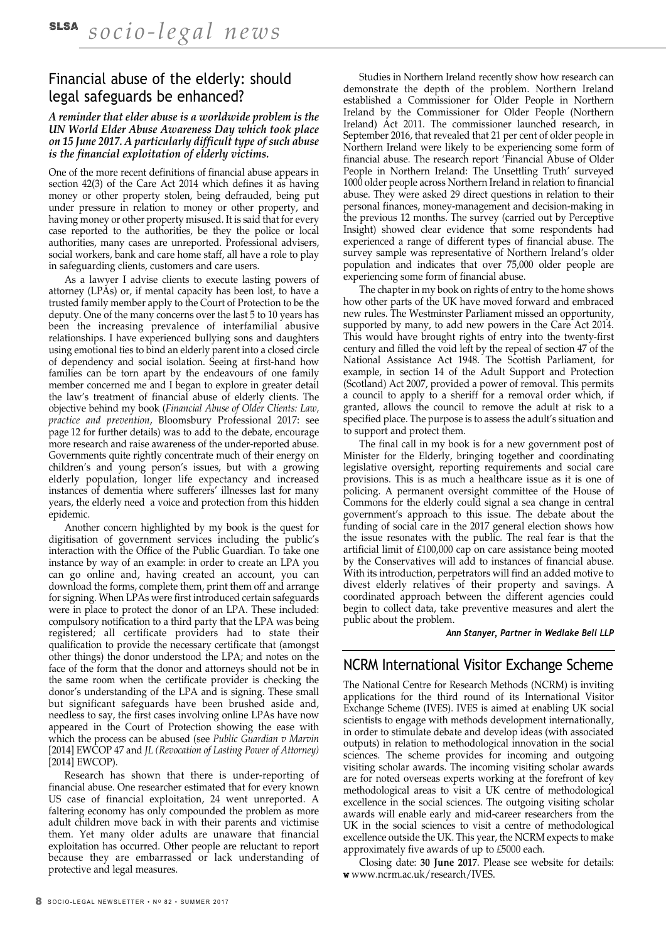## Financial abuse of the elderly: should legal safeguards be enhanced?

#### *A reminder that elder abuse is a worldwide problem is the UN World Elder Abuse Awareness Day which took place on 15 June 2017. A particularly difficult type of such abuse is the financial exploitation of elderly victims.*

One of the more recent definitions of financial abuse appears in section 42(3) of the Care Act 2014 which defines it as having money or other property stolen, being defrauded, being put under pressure in relation to money or other property, and having money or other property misused. It is said that for every case reported to the authorities, be they the police or local authorities, many cases are unreported. Professional advisers, social workers, bank and care home staff, all have a role to play in safeguarding clients, customers and care users.

As a lawyer I advise clients to execute lasting powers of attorney (LPAs) or, if mental capacity has been lost, to have a trusted family member apply to the Court of Protection to be the deputy. One of the many concerns over the last 5 to 10 years has been the increasing prevalence of interfamilial abusive relationships. I have experienced bullying sons and daughters using emotional ties to bind an elderly parent into a closed circle of dependency and social isolation. Seeing at first-hand how families can be torn apart by the endeavours of one family member concerned me and I began to explore in greater detail the law's treatment of financial abuse of elderly clients. The objective behind my book (*Financial Abuse of Older Clients: Law, practice and prevention*, Bloomsbury Professional 2017: see page 12 for further details) was to add to the debate, encourage more research and raise awareness of the under-reported abuse. Governments quite rightly concentrate much of their energy on children's and young person's issues, but with a growing elderly population, longer life expectancy and increased instances of dementia where sufferers' illnesses last for many years, the elderly need a voice and protection from this hidden epidemic.

Another concern highlighted by my book is the quest for digitisation of government services including the public's interaction with the Office of the Public Guardian. To take one instance by way of an example: in order to create an LPA you can go online and, having created an account, you can download the forms, complete them, print them off and arrange for signing. When LPAs were first introduced certain safeguards were in place to protect the donor of an LPA. These included: compulsory notification to a third party that the LPA was being registered; all certificate providers had to state their qualification to provide the necessary certificate that (amongst other things) the donor understood the LPA; and notes on the face of the form that the donor and attorneys should not be in the same room when the certificate provider is checking the donor's understanding of the LPA and is signing. These small but significant safeguards have been brushed aside and, needless to say, the first cases involving online LPAs have now appeared in the Court of Protection showing the ease with which the process can be abused (see *Public Guardian v Marvin* [2014] EWCOP 47 and *JL (Revocation of Lasting Power of Attorney)* [2014] EWCOP).

Research has shown that there is under-reporting of financial abuse. One researcher estimated that for every known US case of financial exploitation, 24 went unreported. A faltering economy has only compounded the problem as more adult children move back in with their parents and victimise them. Yet many older adults are unaware that financial exploitation has occurred. Other people are reluctant to report because they are embarrassed or lack understanding of protective and legal measures.

Studies in Northern Ireland recently show how research can demonstrate the depth of the problem. Northern Ireland established a Commissioner for Older People in Northern Ireland by the Commissioner for Older People (Northern Ireland) Act 2011. The commissioner launched research, in September 2016, that revealed that 21 per cent of older people in Northern Ireland were likely to be experiencing some form of financial abuse. The research report 'Financial Abuse of Older People in Northern Ireland: The Unsettling Truth' surveyed 1000 older people across Northern Ireland in relation to financial abuse. They were asked 29 direct questions in relation to their personal finances, money-management and decision-making in the previous 12 months. The survey (carried out by Perceptive Insight) showed clear evidence that some respondents had experienced a range of different types of financial abuse. The survey sample was representative of Northern Ireland's older population and indicates that over 75,000 older people are experiencing some form of financial abuse.

The chapter in my book on rights of entry to the home shows how other parts of the UK have moved forward and embraced new rules. The Westminster Parliament missed an opportunity, supported by many, to add new powers in the Care Act 2014. This would have brought rights of entry into the twenty-first century and filled the void left by the repeal of section 47 of the National Assistance Act 1948. The Scottish Parliament, for example, in section 14 of the Adult Support and Protection (Scotland) Act 2007, provided a power of removal. This permits a council to apply to a sheriff for a removal order which, if granted, allows the council to remove the adult at risk to a specified place. The purpose is to assess the adult's situation and to support and protect them.

The final call in my book is for a new government post of Minister for the Elderly, bringing together and coordinating legislative oversight, reporting requirements and social care provisions. This is as much a healthcare issue as it is one of policing. A permanent oversight committee of the House of Commons for the elderly could signal a sea change in central government's approach to this issue. The debate about the funding of social care in the 2017 general election shows how the issue resonates with the public. The real fear is that the artificial limit of £100,000 cap on care assistance being mooted by the Conservatives will add to instances of financial abuse. With its introduction, perpetrators will find an added motive to divest elderly relatives of their property and savings. A coordinated approach between the different agencies could begin to collect data, take preventive measures and alert the public about the problem.

*Ann Stanyer, Partner in Wedlake Bell LLP*

### NCRM International Visitor Exchange Scheme

The National Centre for Research Methods (NCRM) is inviting applications for the third round of its International Visitor Exchange Scheme (IVES). IVES is aimed at enabling UK social scientists to engage with methods development internationally, in order to stimulate debate and develop ideas (with associated outputs) in relation to methodological innovation in the social sciences. The scheme provides for incoming and outgoing visiting scholar awards. The incoming visiting scholar awards are for noted overseas experts working at the forefront of key methodological areas to visit a UK centre of methodological excellence in the social sciences. The outgoing visiting scholar awards will enable early and mid-career researchers from the UK in the social sciences to visit a centre of methodological excellence outside the UK. This year, the NCRM expects to make approximately five awards of up to £5000 each.

Closing date: **30 June 2017**. Please see website for details: **w** www.ncrm.ac.uk/research/IVES.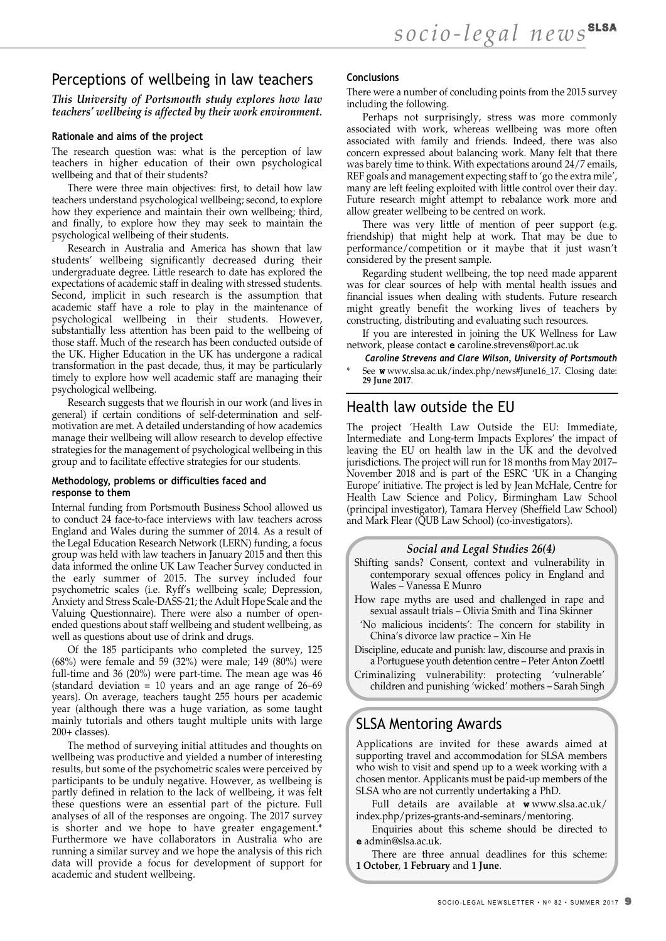### Perceptions of wellbeing in law teachers

#### *This University of Portsmouth study explores how law teachers' wellbeing is affected by their work environment.*

#### **Rationale and aims of the project**

The research question was: what is the perception of law teachers in higher education of their own psychological wellbeing and that of their students?

There were three main objectives: first, to detail how law teachers understand psychological wellbeing; second, to explore how they experience and maintain their own wellbeing; third, and finally, to explore how they may seek to maintain the psychological wellbeing of their students.

Research in Australia and America has shown that law students' wellbeing significantly decreased during their undergraduate degree. Little research to date has explored the expectations of academic staff in dealing with stressed students. Second, implicit in such research is the assumption that academic staff have a role to play in the maintenance of psychological wellbeing in their students. However, substantially less attention has been paid to the wellbeing of those staff. Much of the research has been conducted outside of the UK. Higher Education in the UK has undergone a radical transformation in the past decade, thus, it may be particularly timely to explore how well academic staff are managing their psychological wellbeing.

Research suggests that we flourish in our work (and lives in general) if certain conditions of self-determination and selfmotivation are met. A detailed understanding of how academics manage their wellbeing will allow research to develop effective strategies for the management of psychological wellbeing in this group and to facilitate effective strategies for our students.

#### **Methodology, problems or difficulties faced and response to them**

Internal funding from Portsmouth Business School allowed us to conduct 24 face-to-face interviews with law teachers across England and Wales during the summer of 2014. As a result of the Legal Education Research Network (LERN) funding, a focus group was held with law teachers in January 2015 and then this data informed the online UK Law Teacher Survey conducted in the early summer of 2015. The survey included four psychometric scales (i.e. Ryff's wellbeing scale; Depression, Anxiety and Stress Scale-DASS-21; the Adult Hope Scale and the Valuing Questionnaire). There were also a number of openended questions about staff wellbeing and student wellbeing, as well as questions about use of drink and drugs.

Of the 185 participants who completed the survey, 125 (68%) were female and 59 (32%) were male; 149 (80%) were full-time and 36 (20%) were part-time. The mean age was 46 (standard deviation  $= 10$  years and an age range of 26–69 years). On average, teachers taught 255 hours per academic year (although there was a huge variation, as some taught mainly tutorials and others taught multiple units with large 200+ classes).

The method of surveying initial attitudes and thoughts on wellbeing was productive and yielded a number of interesting results, but some of the psychometric scales were perceived by participants to be unduly negative. However, as wellbeing is partly defined in relation to the lack of wellbeing, it was felt these questions were an essential part of the picture. Full analyses of all of the responses are ongoing. The 2017 survey is shorter and we hope to have greater engagement.\* Furthermore we have collaborators in Australia who are running a similar survey and we hope the analysis of this rich data will provide a focus for development of support for academic and student wellbeing.

#### **Conclusions**

There were a number of concluding points from the 2015 survey including the following.

Perhaps not surprisingly, stress was more commonly associated with work, whereas wellbeing was more often associated with family and friends. Indeed, there was also concern expressed about balancing work. Many felt that there was barely time to think. With expectations around 24/7 emails, REF goals and management expecting staff to 'go the extra mile', many are left feeling exploited with little control over their day. Future research might attempt to rebalance work more and allow greater wellbeing to be centred on work.

There was very little of mention of peer support (e.g. friendship) that might help at work. That may be due to performance/competition or it maybe that it just wasn't considered by the present sample.

Regarding student wellbeing, the top need made apparent was for clear sources of help with mental health issues and financial issues when dealing with students. Future research might greatly benefit the working lives of teachers by constructing, distributing and evaluating such resources.

If you are interested in joining the UK Wellness for Law network, please contact **e** caroline.strevens@port.ac.uk

*Caroline Strevens and Clare Wilson, University of Portsmouth*

See **w** www.slsa.ac.uk/index.php/news#June16\_17. Closing date: **29 June 2017**.

#### Health law outside the EU

The project 'Health Law Outside the EU: Immediate, Intermediate and Long-term Impacts Explores' the impact of leaving the EU on health law in the UK and the devolved jurisdictions. The project will run for 18 months from May 2017– November 2018 and is part of the ESRC 'UK in a Changing Europe' initiative. The project is led by Jean McHale, Centre for Health Law Science and Policy, Birmingham Law School (principal investigator), Tamara Hervey (Sheffield Law School) and Mark Flear (QUB Law School) (co-investigators).

#### *Social and Legal Studies 26(4)*

- Shifting sands? Consent, context and vulnerability in contemporary sexual offences policy in England and Wales – Vanessa E Munro
- How rape myths are used and challenged in rape and sexual assault trials – Olivia Smith and Tina Skinner
- 'No malicious incidents': The concern for stability in China's divorce law practice – Xin He
- Discipline, educate and punish: law, discourse and praxis in a Portuguese youth detention centre – Peter Anton Zoettl

Criminalizing vulnerability: protecting 'vulnerable' children and punishing 'wicked' mothers – Sarah Singh

## SLSA Mentoring Awards

Applications are invited for these awards aimed at supporting travel and accommodation for SLSA members who wish to visit and spend up to a week working with a chosen mentor. Applicants must be paid-up members of the SLSA who are not currently undertaking a PhD.

Full details are available at **w** www.slsa.ac.uk/ index.php/prizes-grants-and-seminars/mentoring.

Enquiries about this scheme should be directed to **e** admin@slsa.ac.uk.

There are three annual deadlines for this scheme: **1 October**, **1 February** and **1 June**.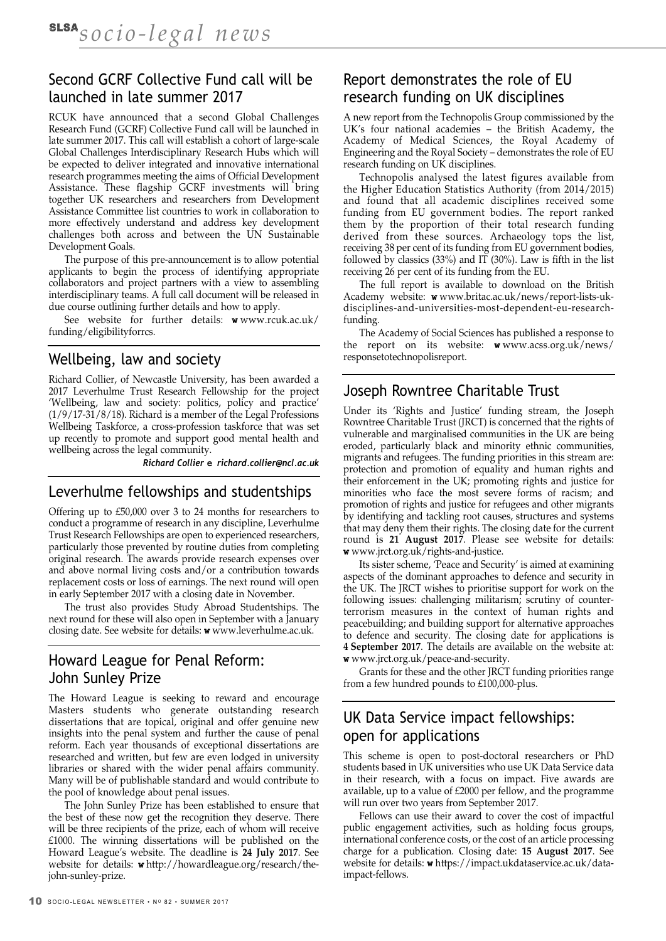## Second GCRF Collective Fund call will be launched in late summer 2017

RCUK have announced that a second Global Challenges Research Fund (GCRF) Collective Fund call will be launched in late summer 2017. This call will establish a cohort of large-scale Global Challenges Interdisciplinary Research Hubs which will be expected to deliver integrated and innovative international research programmes meeting the aims of Official Development Assistance. These flagship GCRF investments will bring together UK researchers and researchers from Development Assistance Committee list countries to work in collaboration to more effectively understand and address key development challenges both across and between the UN Sustainable Development Goals.

The purpose of this pre-announcement is to allow potential applicants to begin the process of identifying appropriate collaborators and project partners with a view to assembling interdisciplinary teams. A full call document will be released in due course outlining further details and how to apply.

See website for further details: **w** www.rcuk.ac.uk/ funding/eligibilityforrcs.

## Wellbeing, law and society

Richard Collier, of Newcastle University, has been awarded a 2017 Leverhulme Trust Research Fellowship for the project 'Wellbeing, law and society: politics, policy and practice' (1/9/17-31/8/18). Richard is a member of the Legal Professions Wellbeing Taskforce, a cross-profession taskforce that was set up recently to promote and support good mental health and wellbeing across the legal community.

*Richard Collier* **e** *richard.collier@ncl.ac.uk*

## Leverhulme fellowships and studentships

Offering up to £50,000 over 3 to 24 months for researchers to conduct a programme of research in any discipline, Leverhulme Trust Research Fellowships are open to experienced researchers, particularly those prevented by routine duties from completing original research. The awards provide research expenses over and above normal living costs and/or a contribution towards replacement costs or loss of earnings. The next round will open in early September 2017 with a closing date in November.

The trust also provides Study Abroad Studentships. The next round for these will also open in September with a January closing date. See website for details: **w** www.leverhulme.ac.uk.

## Howard League for Penal Reform: John Sunley Prize

The Howard League is seeking to reward and encourage Masters students who generate outstanding research dissertations that are topical, original and offer genuine new insights into the penal system and further the cause of penal reform. Each year thousands of exceptional dissertations are researched and written, but few are even lodged in university libraries or shared with the wider penal affairs community. Many will be of publishable standard and would contribute to the pool of knowledge about penal issues.

The John Sunley Prize has been established to ensure that the best of these now get the recognition they deserve. There will be three recipients of the prize, each of whom will receive £1000. The winning dissertations will be published on the Howard League's website. The deadline is **24 July 2017**. See website for details: **w** http://howardleague.org/research/thejohn-sunley-prize.

## Report demonstrates the role of EU research funding on UK disciplines

A new report from the Technopolis Group commissioned by the UK's four national academies – the British Academy, the Academy of Medical Sciences, the Royal Academy of Engineering and the Royal Society – demonstrates the role of EU research funding on UK disciplines.

Technopolis analysed the latest figures available from the Higher Education Statistics Authority (from 2014/2015) and found that all academic disciplines received some funding from EU government bodies. The report ranked them by the proportion of their total research funding derived from these sources. Archaeology tops the list, receiving 38 per cent of its funding from EU government bodies, followed by classics (33%) and IT (30%). Law is fifth in the list receiving 26 per cent of its funding from the EU.

The full report is available to download on the British Academy website: **w** www.britac.ac.uk/news/report-lists-ukdisciplines-and-universities-most-dependent-eu-researchfunding.

The Academy of Social Sciences has published a response to the report on its website: **w** www.acss.org.uk/news/ responsetotechnopolisreport.

## Joseph Rowntree Charitable Trust

Under its 'Rights and Justice' funding stream, the Joseph Rowntree Charitable Trust (JRCT) is concerned that the rights of vulnerable and marginalised communities in the UK are being eroded, particularly black and minority ethnic communities, migrants and refugees. The funding priorities in this stream are: protection and promotion of equality and human rights and their enforcement in the UK; promoting rights and justice for minorities who face the most severe forms of racism; and promotion of rights and justice for refugees and other migrants by identifying and tackling root causes, structures and systems that may deny them their rights. The closing date for the current round is **21 August 2017**. Please see website for details: **w** www.jrct.org.uk/rights-and-justice.

Its sister scheme, 'Peace and Security' is aimed at examining aspects of the dominant approaches to defence and security in the UK. The JRCT wishes to prioritise support for work on the following issues: challenging militarism; scrutiny of counterterrorism measures in the context of human rights and peacebuilding; and building support for alternative approaches to defence and security. The closing date for applications is **4 September 2017**. The details are available on the website at: **w** www.jrct.org.uk/peace-and-security.

Grants for these and the other JRCT funding priorities range from a few hundred pounds to £100,000-plus.

## UK Data Service impact fellowships: open for applications

This scheme is open to post-doctoral researchers or PhD students based in UK universities who use UK Data Service data in their research, with a focus on impact. Five awards are available, up to a value of £2000 per fellow, and the programme will run over two years from September 2017.

Fellows can use their award to cover the cost of impactful public engagement activities, such as holding focus groups, international conference costs, or the cost of an article processing charge for a publication. Closing date: **15 August 2017**. See website for details: **w** https://impact.ukdataservice.ac.uk/dataimpact-fellows.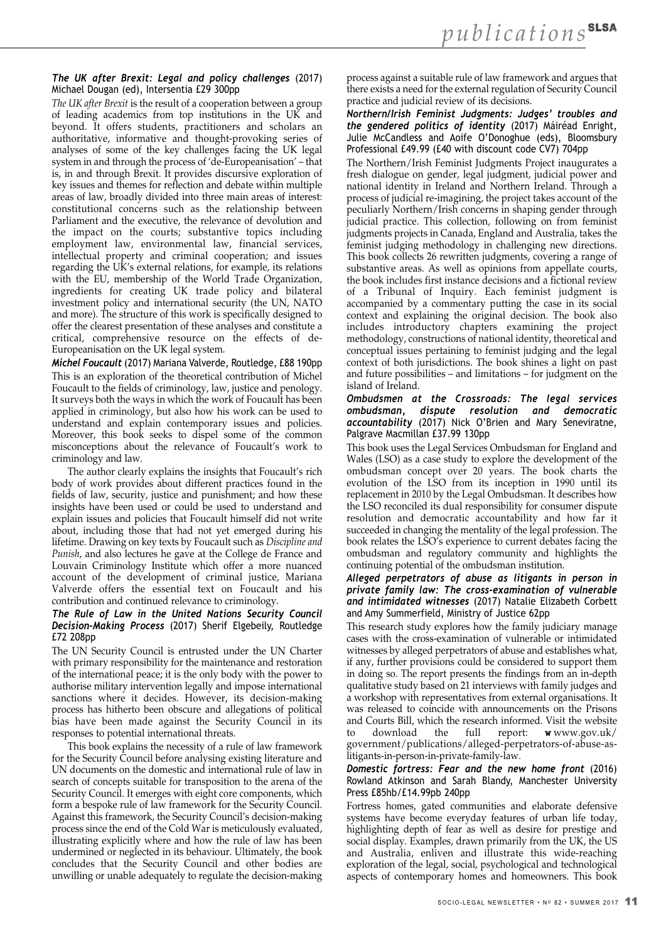#### *The UK after Brexit: Legal and policy challenges* (2017) Michael Dougan (ed), Intersentia £29 300pp

*The UK after Brexit* is the result of a cooperation between a group of leading academics from top institutions in the UK and beyond. It offers students, practitioners and scholars an authoritative, informative and thought-provoking series of analyses of some of the key challenges facing the UK legal system in and through the process of 'de-Europeanisation' – that is, in and through Brexit. It provides discursive exploration of key issues and themes for reflection and debate within multiple areas of law, broadly divided into three main areas of interest: constitutional concerns such as the relationship between Parliament and the executive, the relevance of devolution and the impact on the courts; substantive topics including employment law, environmental law, financial services, intellectual property and criminal cooperation; and issues regarding the UK's external relations, for example, its relations with the EU, membership of the World Trade Organization, ingredients for creating UK trade policy and bilateral investment policy and international security (the UN, NATO and more). The structure of this work is specifically designed to offer the clearest presentation of these analyses and constitute a critical, comprehensive resource on the effects of de-Europeanisation on the UK legal system.

*Michel Foucault* (2017) Mariana Valverde, Routledge, £88 190pp This is an exploration of the theoretical contribution of Michel Foucault to the fields of criminology, law, justice and penology. It surveys both the ways in which the work of Foucault has been applied in criminology, but also how his work can be used to understand and explain contemporary issues and policies. Moreover, this book seeks to dispel some of the common misconceptions about the relevance of Foucault's work to criminology and law.

The author clearly explains the insights that Foucault's rich body of work provides about different practices found in the fields of law, security, justice and punishment; and how these insights have been used or could be used to understand and explain issues and policies that Foucault himself did not write about, including those that had not yet emerged during his lifetime. Drawing on key texts by Foucault such as *Discipline and Punish*, and also lectures he gave at the College de France and Louvain Criminology Institute which offer a more nuanced account of the development of criminal justice, Mariana Valverde offers the essential text on Foucault and his contribution and continued relevance to criminology.

#### *The Rule of Law in the United Nations Security Council Decision-Making Process* (2017) Sherif Elgebeily, Routledge £72 208pp

The UN Security Council is entrusted under the UN Charter with primary responsibility for the maintenance and restoration of the international peace; it is the only body with the power to authorise military intervention legally and impose international sanctions where it decides. However, its decision-making process has hitherto been obscure and allegations of political bias have been made against the Security Council in its responses to potential international threats.

This book explains the necessity of a rule of law framework for the Security Council before analysing existing literature and UN documents on the domestic and international rule of law in search of concepts suitable for transposition to the arena of the Security Council. It emerges with eight core components, which form a bespoke rule of law framework for the Security Council. Against this framework, the Security Council's decision-making process since the end of the Cold War is meticulously evaluated, illustrating explicitly where and how the rule of law has been undermined or neglected in its behaviour. Ultimately, the book concludes that the Security Council and other bodies are unwilling or unable adequately to regulate the decision-making process against a suitable rule of law framework and argues that there exists a need for the external regulation of Security Council practice and judicial review of its decisions.

*Northern/Irish Feminist Judgments: Judges' troubles and the gendered politics of identity* (2017) Máiréad Enright, Julie McCandless and Aoife O'Donoghue (eds), Bloomsbury Professional £49.99 (£40 with discount code CV7) 704pp

The Northern/Irish Feminist Judgments Project inaugurates a fresh dialogue on gender, legal judgment, judicial power and national identity in Ireland and Northern Ireland. Through a process of judicial re-imagining, the project takes account of the peculiarly Northern/Irish concerns in shaping gender through judicial practice. This collection, following on from feminist judgments projects in Canada, England and Australia, takes the feminist judging methodology in challenging new directions. This book collects 26 rewritten judgments, covering a range of substantive areas. As well as opinions from appellate courts, the book includes first instance decisions and a fictional review of a Tribunal of Inquiry. Each feminist judgment is accompanied by a commentary putting the case in its social context and explaining the original decision. The book also includes introductory chapters examining the project methodology, constructions of national identity, theoretical and conceptual issues pertaining to feminist judging and the legal context of both jurisdictions. The book shines a light on past and future possibilities – and limitations – for judgment on the island of Ireland.

*Ombudsmen at the Crossroads: The legal services ombudsman, dispute resolution and democratic accountability* (2017) Nick O'Brien and Mary Seneviratne, Palgrave Macmillan £37.99 130pp

This book uses the Legal Services Ombudsman for England and Wales (LSO) as a case study to explore the development of the ombudsman concept over 20 years. The book charts the evolution of the LSO from its inception in 1990 until its replacement in 2010 by the Legal Ombudsman. It describes how the LSO reconciled its dual responsibility for consumer dispute resolution and democratic accountability and how far it succeeded in changing the mentality of the legal profession. The book relates the LSO's experience to current debates facing the ombudsman and regulatory community and highlights the continuing potential of the ombudsman institution.

#### *Alleged perpetrators of abuse as litigants in person in private family law: The cross-examination of vulnerable and intimidated witnesses* (2017) Natalie Elizabeth Corbett and Amy Summerfield, Ministry of Justice 62pp

This research study explores how the family judiciary manage cases with the cross-examination of vulnerable or intimidated witnesses by alleged perpetrators of abuse and establishes what, if any, further provisions could be considered to support them in doing so. The report presents the findings from an in-depth qualitative study based on 21 interviews with family judges and a workshop with representatives from external organisations. It was released to coincide with announcements on the Prisons and Courts Bill, which the research informed. Visit the website to download the full report: **w** www.gov.uk/ government/publications/alleged-perpetrators-of-abuse-aslitigants-in-person-in-private-family-law.

#### *Domestic fortress: Fear and the new home front* (2016) Rowland Atkinson and Sarah Blandy, Manchester University Press £85hb/£14.99pb 240pp

Fortress homes, gated communities and elaborate defensive systems have become everyday features of urban life today, highlighting depth of fear as well as desire for prestige and social display. Examples, drawn primarily from the UK, the US and Australia, enliven and illustrate this wide-reaching exploration of the legal, social, psychological and technological aspects of contemporary homes and homeowners. This book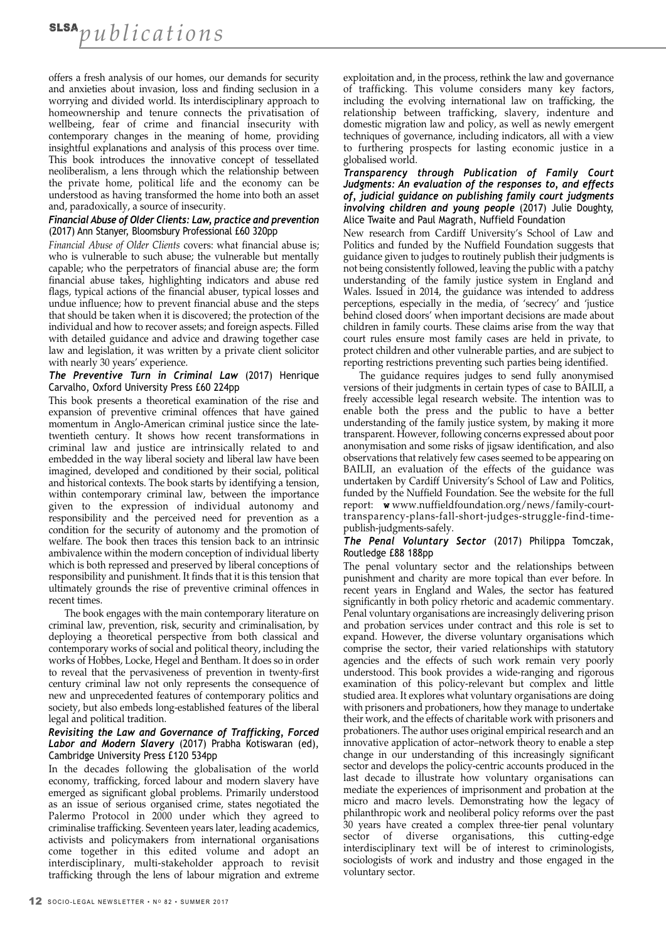offers a fresh analysis of our homes, our demands for security and anxieties about invasion, loss and finding seclusion in a worrying and divided world. Its interdisciplinary approach to homeownership and tenure connects the privatisation of wellbeing, fear of crime and financial insecurity with contemporary changes in the meaning of home, providing insightful explanations and analysis of this process over time. This book introduces the innovative concept of tessellated neoliberalism, a lens through which the relationship between the private home, political life and the economy can be understood as having transformed the home into both an asset and, paradoxically, a source of insecurity.

#### *Financial Abuse of Older Clients: Law, practice and prevention* (2017) Ann Stanyer, Bloomsbury Professional £60 320pp

*Financial Abuse of Older Clients* covers: what financial abuse is; who is vulnerable to such abuse; the vulnerable but mentally capable; who the perpetrators of financial abuse are; the form financial abuse takes, highlighting indicators and abuse red flags, typical actions of the financial abuser, typical losses and undue influence; how to prevent financial abuse and the steps that should be taken when it is discovered; the protection of the individual and how to recover assets; and foreign aspects. Filled with detailed guidance and advice and drawing together case law and legislation, it was written by a private client solicitor with nearly 30 years' experience.

#### *The Preventive Turn in Criminal Law* (2017) Henrique Carvalho, Oxford University Press £60 224pp

This book presents a theoretical examination of the rise and expansion of preventive criminal offences that have gained momentum in Anglo-American criminal justice since the latetwentieth century. It shows how recent transformations in criminal law and justice are intrinsically related to and embedded in the way liberal society and liberal law have been imagined, developed and conditioned by their social, political and historical contexts. The book starts by identifying a tension, within contemporary criminal law, between the importance given to the expression of individual autonomy and responsibility and the perceived need for prevention as a condition for the security of autonomy and the promotion of welfare. The book then traces this tension back to an intrinsic ambivalence within the modern conception of individual liberty which is both repressed and preserved by liberal conceptions of responsibility and punishment. It finds that it is this tension that ultimately grounds the rise of preventive criminal offences in recent times.

The book engages with the main contemporary literature on criminal law, prevention, risk, security and criminalisation, by deploying a theoretical perspective from both classical and contemporary works of social and political theory, including the works of Hobbes, Locke, Hegel and Bentham. It does so in order to reveal that the pervasiveness of prevention in twenty-first century criminal law not only represents the consequence of new and unprecedented features of contemporary politics and society, but also embeds long-established features of the liberal legal and political tradition.

#### *Revisiting the Law and Governance of Trafficking, Forced Labor and Modern Slavery* (2017) Prabha Kotiswaran (ed), Cambridge University Press £120 534pp

In the decades following the globalisation of the world economy, trafficking, forced labour and modern slavery have emerged as significant global problems. Primarily understood as an issue of serious organised crime, states negotiated the Palermo Protocol in 2000 under which they agreed to criminalise trafficking. Seventeen years later, leading academics, activists and policymakers from international organisations come together in this edited volume and adopt an interdisciplinary, multi-stakeholder approach to revisit trafficking through the lens of labour migration and extreme

exploitation and, in the process, rethink the law and governance of trafficking. This volume considers many key factors, including the evolving international law on trafficking, the relationship between trafficking, slavery, indenture and domestic migration law and policy, as well as newly emergent techniques of governance, including indicators, all with a view to furthering prospects for lasting economic justice in a globalised world.

*Transparency through Publication of Family Court Judgments: An evaluation of the responses to, and effects of, judicial guidance on publishing family court judgments involving children and young people* (2017) Julie Doughty, Alice Twaite and Paul Magrath, Nuffield Foundation

New research from Cardiff University's School of Law and Politics and funded by the Nuffield Foundation suggests that guidance given to judges to routinely publish their judgments is not being consistently followed, leaving the public with a patchy understanding of the family justice system in England and Wales. Issued in 2014, the guidance was intended to address perceptions, especially in the media, of 'secrecy' and 'justice behind closed doors' when important decisions are made about children in family courts. These claims arise from the way that court rules ensure most family cases are held in private, to protect children and other vulnerable parties, and are subject to reporting restrictions preventing such parties being identified.

The guidance requires judges to send fully anonymised versions of their judgments in certain types of case to BAILII, a freely accessible legal research website. The intention was to enable both the press and the public to have a better understanding of the family justice system, by making it more transparent. However, following concerns expressed about poor anonymisation and some risks of jigsaw identification, and also observations that relatively few cases seemed to be appearing on BAILII, an evaluation of the effects of the guidance was undertaken by Cardiff University's School of Law and Politics, funded by the Nuffield Foundation. See the website for the full report: **w** www.nuffieldfoundation.org/news/family-courttransparency-plans-fall-short-judges-struggle-find-timepublish-judgments-safely.

#### *The Penal Voluntary Sector* (2017) Philippa Tomczak, Routledge £88 188pp

The penal voluntary sector and the relationships between punishment and charity are more topical than ever before. In recent years in England and Wales, the sector has featured significantly in both policy rhetoric and academic commentary. Penal voluntary organisations are increasingly delivering prison and probation services under contract and this role is set to expand. However, the diverse voluntary organisations which comprise the sector, their varied relationships with statutory agencies and the effects of such work remain very poorly understood. This book provides a wide-ranging and rigorous examination of this policy-relevant but complex and little studied area. It explores what voluntary organisations are doing with prisoners and probationers, how they manage to undertake their work, and the effects of charitable work with prisoners and probationers. The author uses original empirical research and an innovative application of actor–network theory to enable a step change in our understanding of this increasingly significant sector and develops the policy-centric accounts produced in the last decade to illustrate how voluntary organisations can mediate the experiences of imprisonment and probation at the micro and macro levels. Demonstrating how the legacy of philanthropic work and neoliberal policy reforms over the past 30 years have created a complex three-tier penal voluntary sector of diverse organisations, this cutting-edge interdisciplinary text will be of interest to criminologists, sociologists of work and industry and those engaged in the voluntary sector.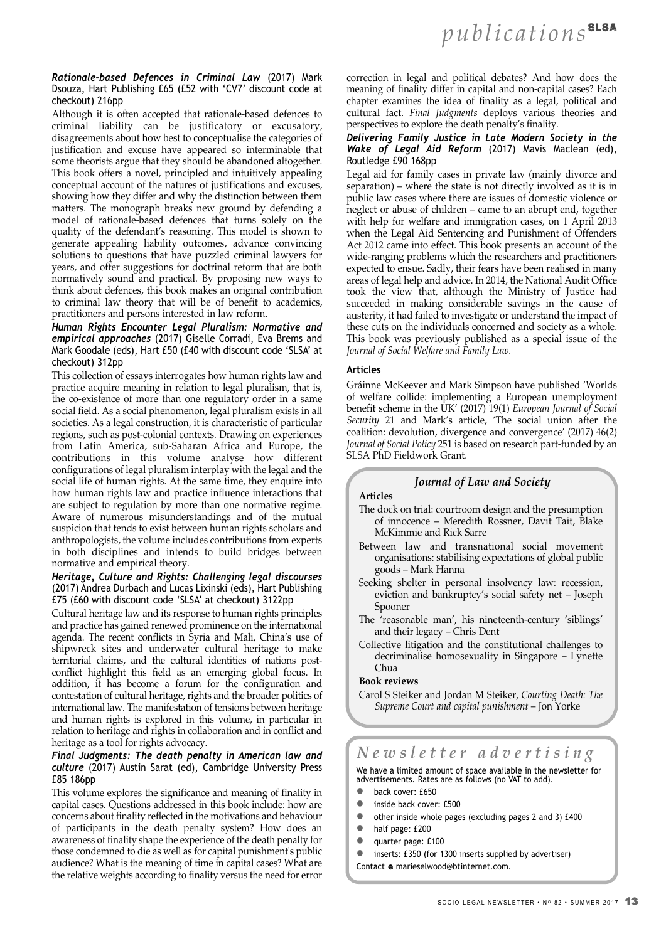#### *Rationale-based Defences in Criminal Law* (2017) Mark Dsouza, Hart Publishing £65 (£52 with 'CV7' discount code at checkout) 216pp

Although it is often accepted that rationale-based defences to criminal liability can be justificatory or excusatory, disagreements about how best to conceptualise the categories of justification and excuse have appeared so interminable that some theorists argue that they should be abandoned altogether. This book offers a novel, principled and intuitively appealing conceptual account of the natures of justifications and excuses, showing how they differ and why the distinction between them matters. The monograph breaks new ground by defending a model of rationale-based defences that turns solely on the quality of the defendant's reasoning. This model is shown to generate appealing liability outcomes, advance convincing solutions to questions that have puzzled criminal lawyers for years, and offer suggestions for doctrinal reform that are both normatively sound and practical. By proposing new ways to think about defences, this book makes an original contribution to criminal law theory that will be of benefit to academics, practitioners and persons interested in law reform.

#### *Human Rights Encounter Legal Pluralism: Normative and empirical approaches* (2017) Giselle Corradi, Eva Brems and Mark Goodale (eds), Hart £50 (£40 with discount code 'SLSA' at checkout) 312pp

This collection of essays interrogates how human rights law and practice acquire meaning in relation to legal pluralism, that is, the co-existence of more than one regulatory order in a same social field. As a social phenomenon, legal pluralism exists in all societies. As a legal construction, it is characteristic of particular regions, such as post-colonial contexts. Drawing on experiences from Latin America, sub-Saharan Africa and Europe, the contributions in this volume analyse how different configurations of legal pluralism interplay with the legal and the social life of human rights. At the same time, they enquire into how human rights law and practice influence interactions that are subject to regulation by more than one normative regime. Aware of numerous misunderstandings and of the mutual suspicion that tends to exist between human rights scholars and anthropologists, the volume includes contributions from experts in both disciplines and intends to build bridges between normative and empirical theory.

#### *Heritage, Culture and Rights: Challenging legal discourses* (2017) Andrea Durbach and Lucas Lixinski (eds), Hart Publishing £75 (£60 with discount code 'SLSA' at checkout) 3122pp

Cultural heritage law and its response to human rights principles and practice has gained renewed prominence on the international agenda. The recent conflicts in Syria and Mali, China's use of shipwreck sites and underwater cultural heritage to make territorial claims, and the cultural identities of nations postconflict highlight this field as an emerging global focus. In addition, it has become a forum for the configuration and contestation of cultural heritage, rights and the broader politics of international law. The manifestation of tensions between heritage and human rights is explored in this volume, in particular in relation to heritage and rights in collaboration and in conflict and heritage as a tool for rights advocacy.

#### *Final Judgments: The death penalty in American law and culture* (2017) Austin Sarat (ed), Cambridge University Press £85 186pp

This volume explores the significance and meaning of finality in capital cases. Questions addressed in this book include: how are concerns about finality reflected in the motivations and behaviour of participants in the death penalty system? How does an awareness of finality shape the experience of the death penalty for those condemned to die as well as for capital punishment's public audience? What is the meaning of time in capital cases? What are the relative weights according to finality versus the need for error

correction in legal and political debates? And how does the meaning of finality differ in capital and non-capital cases? Each chapter examines the idea of finality as a legal, political and cultural fact. *Final Judgments* deploys various theories and perspectives to explore the death penalty's finality.

#### *Delivering Family Justice in Late Modern Society in the Wake of Legal Aid Reform* (2017) Mavis Maclean (ed), Routledge £90 168pp

Legal aid for family cases in private law (mainly divorce and separation) – where the state is not directly involved as it is in public law cases where there are issues of domestic violence or neglect or abuse of children – came to an abrupt end, together with help for welfare and immigration cases, on 1 April 2013 when the Legal Aid Sentencing and Punishment of Offenders Act 2012 came into effect. This book presents an account of the wide-ranging problems which the researchers and practitioners expected to ensue. Sadly, their fears have been realised in many areas of legal help and advice. In 2014, the National Audit Office took the view that, although the Ministry of Justice had succeeded in making considerable savings in the cause of austerity, it had failed to investigate or understand the impact of these cuts on the individuals concerned and society as a whole. This book was previously published as a special issue of the *Journal of Social Welfare and Family Law*.

#### **Articles**

Gráinne McKeever and Mark Simpson have published 'Worlds of welfare collide: implementing a European unemployment benefit scheme in the UK' (2017) 19(1) *European Journal of Social Security* 21 and Mark's article, 'The social union after the coalition: devolution, divergence and convergence' (2017) 46(2) *Journal of Social Policy* 251 is based on research part-funded by an SLSA PhD Fieldwork Grant.

#### *Journal of Law and Society*

#### **Articles**

- The dock on trial: courtroom design and the presumption of innocence – Meredith Rossner, Davit Tait, Blake McKimmie and Rick Sarre
- Between law and transnational social movement organisations: stabilising expectations of global public goods – Mark Hanna
- Seeking shelter in personal insolvency law: recession, eviction and bankruptcy's social safety net – Joseph Spooner
- The 'reasonable man', his nineteenth-century 'siblings' and their legacy – Chris Dent
- Collective litigation and the constitutional challenges to decriminalise homosexuality in Singapore – Lynette Chua

#### **Book reviews**

Carol S Steiker and Jordan M Steiker, *Courting Death: The Supreme Court and capital punishment* – Jon Yorke

## *N e w s l e t t e r a d v e r t i s i n g*

We have a limited amount of space available in the newsletter for advertisements. Rates are as follows (no VAT to add).

- $\bullet$  back cover:  $f650$
- inside back cover: £500
- l other inside whole pages (excluding pages 2 and 3) £400
- half page: £200
- **l** quarter page: £100
- inserts: £350 (for 1300 inserts supplied by advertiser)
- Contact **e** marieselwood@btinternet.com.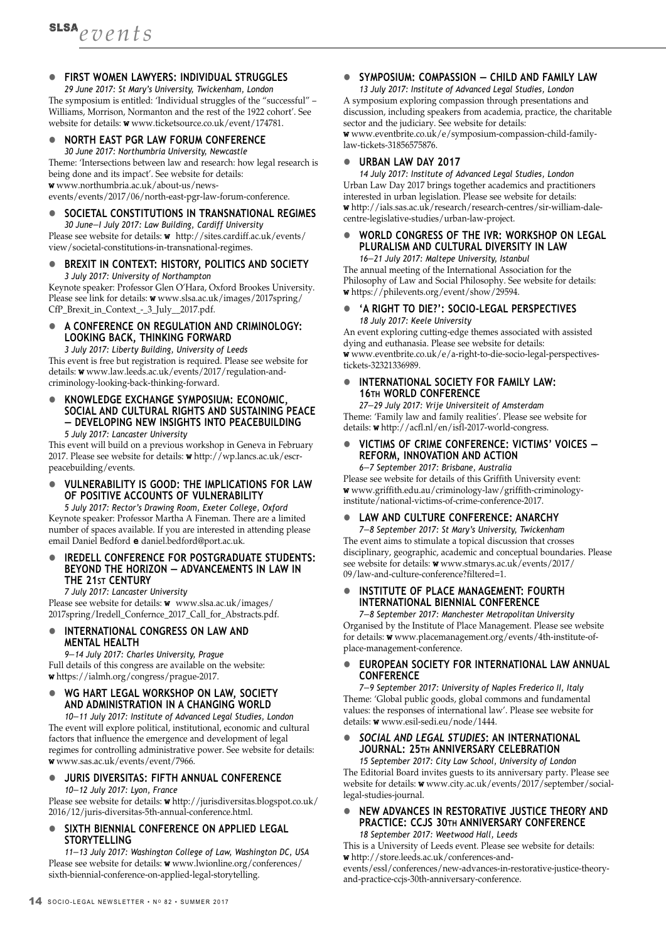#### l **FIRST WOMEN LAWYERS: INDIVIDUAL STRUGGLES**

*29 June 2017: St Mary's University, Twickenham, London* The symposium is entitled: 'Individual struggles of the "successful" – Williams, Morrison, Normanton and the rest of the 1922 cohort'. See website for details: **w** www.ticketsource.co.uk/event/174781.

### l **NORTH EAST PGR LAW FORUM CONFERENCE**

*30 June 2017: Northumbria University, Newcastle* Theme: 'Intersections between law and research: how legal research is being done and its impact'. See website for details: **w** www.northumbria.ac.uk/about-us/news-

events/events/2017/06/north-east-pgr-law-forum-conference.

## l **SOCIETAL CONSTITUTIONS IN TRANSNATIONAL REGIMES**

*30 June—I July 2017: Law Building, Cardiff University* Please see website for details: **w** http://sites.cardiff.ac.uk/events/ view/societal-constitutions-in-transnational-regimes.

#### l **BREXIT IN CONTEXT: HISTORY, POLITICS AND SOCIETY** *3 July 2017: University of Northampton*

Keynote speaker: Professor Glen O'Hara, Oxford Brookes University. Please see link for details: **w** www.slsa.ac.uk/images/2017spring/ CfP\_Brexit\_in\_Context\_-\_3\_July\_\_2017.pdf.

#### l **A CONFERENCE ON REGULATION AND CRIMINOLOGY: LOOKING BACK, THINKING FORWARD**

*3 July 2017: Liberty Building, University of Leeds*

This event is free but registration is required. Please see website for details: **w** www.law.leeds.ac.uk/events/2017/regulation-andcriminology-looking-back-thinking-forward.

#### l **KNOWLEDGE EXCHANGE SYMPOSIUM: ECONOMIC, SOCIAL AND CULTURAL RIGHTS AND SUSTAINING PEACE — DEVELOPING NEW INSIGHTS INTO PEACEBUILDING** *5 July 2017: Lancaster University*

This event will build on a previous workshop in Geneva in February 2017. Please see website for details: **w** http://wp.lancs.ac.uk/escrpeacebuilding/events.

#### l **VULNERABILITY IS GOOD: THE IMPLICATIONS FOR LAW OF POSITIVE ACCOUNTS OF VULNERABILITY**

*5 July 2017: Rector's Drawing Room, Exeter College, Oxford* Keynote speaker: Professor Martha A Fineman. There are a limited number of spaces available. If you are interested in attending please email Daniel Bedford **e** daniel.bedford@port.ac.uk.

#### l **IREDELL CONFERENCE FOR POSTGRADUATE STUDENTS: BEYOND THE HORIZON — ADVANCEMENTS IN LAW IN THE 21ST CENTURY**

*7 July 2017: Lancaster University*

Please see website for details: **w** www.slsa.ac.uk/images/ 2017spring/Iredell\_Confernce\_2017\_Call\_for\_Abstracts.pdf.

#### l **INTERNATIONAL CONGRESS ON LAW AND MENTAL HEALTH**

*9—14 July 2017: Charles University, Prague* Full details of this congress are available on the website: **w** https://ialmh.org/congress/prague-2017.

#### l **WG HART LEGAL WORKSHOP ON LAW, SOCIETY AND ADMINISTRATION IN A CHANGING WORLD**

*10—11 July 2017: Institute of Advanced Legal Studies, London* The event will explore political, institutional, economic and cultural factors that influence the emergence and development of legal regimes for controlling administrative power. See website for details: **w** www.sas.ac.uk/events/event/7966.

#### l **JURIS DIVERSITAS: FIFTH ANNUAL CONFERENCE**

#### *10—12 July 2017: Lyon, France*

Please see website for details: **w** http://jurisdiversitas.blogspot.co.uk/ 2016/12/juris-diversitas-5th-annual-conference.html.

#### l **SIXTH BIENNIAL CONFERENCE ON APPLIED LEGAL STORYTELLING**

*11—13 July 2017: Washington College of Law, Washington DC, USA* Please see website for details: **w** www.lwionline.org/conferences/ sixth-biennial-conference-on-applied-legal-storytelling.

#### l **SYMPOSIUM: COMPASSION — CHILD AND FAMILY LAW**

*13 July 2017: Institute of Advanced Legal Studies, London* A symposium exploring compassion through presentations and discussion, including speakers from academia, practice, the charitable sector and the judiciary. See website for details: **w** www.eventbrite.co.uk/e/symposium-compassion-child-familylaw-tickets-31856575876.

#### l **URBAN LAW DAY 2017**

*14 July 2017: Institute of Advanced Legal Studies, London* Urban Law Day 2017 brings together academics and practitioners interested in urban legislation. Please see website for details: **w** http://ials.sas.ac.uk/research/research-centres/sir-william-dalecentre-legislative-studies/urban-law-project.

#### l **WORLD CONGRESS OF THE IVR: WORKSHOP ON LEGAL PLURALISM AND CULTURAL DIVERSITY IN LAW** *16—21 July 2017: Maltepe University, Istanbul*

The annual meeting of the International Association for the Philosophy of Law and Social Philosophy. See website for details: **w** https://philevents.org/event/show/29594.

#### l **'A RIGHT TO DIE?': SOCIO-LEGAL PERSPECTIVES** *18 July 2017: Keele University*

An event exploring cutting-edge themes associated with assisted dying and euthanasia. Please see website for details: **w** www.eventbrite.co.uk/e/a-right-to-die-socio-legal-perspectivestickets-32321336989.

#### l **INTERNATIONAL SOCIETY FOR FAMILY LAW: 16TH WORLD CONFERENCE**

*27—29 July 2017: Vrije Universiteit of Amsterdam* Theme: 'Family law and family realities'. Please see website for details: **w** http://acfl.nl/en/isfl-2017-world-congress.

#### l **VICTIMS OF CRIME CONFERENCE: VICTIMS' VOICES — REFORM, INNOVATION AND ACTION** *6—7 September 2017: Brisbane, Australia*

Please see website for details of this Griffith University event: **w** www.griffith.edu.au/criminology-law/griffith-criminologyinstitute/national-victims-of-crime-conference-2017.

#### l **LAW AND CULTURE CONFERENCE: ANARCHY**

*7—8 September 2017: St Mary's University, Twickenham* The event aims to stimulate a topical discussion that crosses disciplinary, geographic, academic and conceptual boundaries. Please see website for details: **w** www.stmarys.ac.uk/events/2017/ 09/law-and-culture-conference?filtered=1.

#### l **INSTITUTE OF PLACE MANAGEMENT: FOURTH INTERNATIONAL BIENNIAL CONFERENCE**

*7—8 September 2017: Manchester Metropolitan University* Organised by the Institute of Place Management. Please see website for details: **w** www.placemanagement.org/events/4th-institute-ofplace-management-conference.

#### l **EUROPEAN SOCIETY FOR INTERNATIONAL LAW ANNUAL CONFERENCE**

*7—9 September 2017: University of Naples Frederico II, Italy* Theme: 'Global public goods, global commons and fundamental values: the responses of international law'. Please see website for details: **w** www.esil-sedi.eu/node/1444.

#### l *SOCIAL AND LEGAL STUDIES***: AN INTERNATIONAL JOURNAL: 25TH ANNIVERSARY CELEBRATION**

*15 September 2017: City Law School, University of London* The Editorial Board invites guests to its anniversary party. Please see website for details: **w** www.city.ac.uk/events/2017/september/sociallegal-studies-journal.

#### l **NEW ADVANCES IN RESTORATIVE JUSTICE THEORY AND PRACTICE: CCJS 30TH ANNIVERSARY CONFERENCE** *18 September 2017: Weetwood Hall, Leeds*

This is a University of Leeds event. Please see website for details: **w** http://store.leeds.ac.uk/conferences-andevents/essl/conferences/new-advances-in-restorative-justice-theoryand-practice-ccjs-30th-anniversary-conference.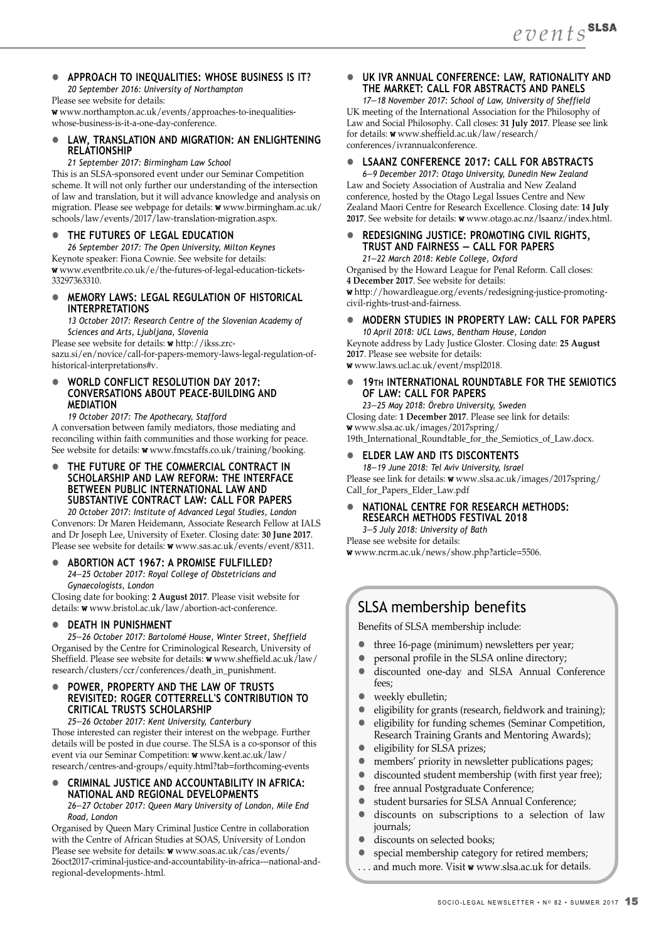#### l **APPROACH TO INEQUALITIES: WHOSE BUSINESS IS IT?**

*20 September 2016: University of Northampton* Please see website for details: **w** www.northampton.ac.uk/events/approaches-to-inequalities-

whose-business-is-it-a-one-day-conference.

#### l **LAW, TRANSLATION AND MIGRATION: AN ENLIGHTENING RELATIONSHIP**

#### *21 September 2017: Birmingham Law School*

This is an SLSA-sponsored event under our Seminar Competition scheme. It will not only further our understanding of the intersection of law and translation, but it will advance knowledge and analysis on migration. Please see webpage for details: **w** www.birmingham.ac.uk/ schools/law/events/2017/law-translation-migration.aspx.

#### l **THE FUTURES OF LEGAL EDUCATION**

*26 September 2017: The Open University, Milton Keynes* Keynote speaker: Fiona Cownie. See website for details: **w** www.eventbrite.co.uk/e/the-futures-of-legal-education-tickets-33297363310.

#### l **MEMORY LAWS: LEGAL REGULATION OF HISTORICAL INTERPRETATIONS**

*13 October 2017: Research Centre of the Slovenian Academy of Sciences and Arts, Ljubljana, Slovenia*

Please see website for details: **w** http://ikss.zrc-

sazu.si/en/novice/call-for-papers-memory-laws-legal-regulation-ofhistorical-interpretations#v.

#### l **WORLD CONFLICT RESOLUTION DAY 2017: CONVERSATIONS ABOUT PEACE-BUILDING AND MEDIATION**

*19 October 2017: The Apothecary, Stafford*

A conversation between family mediators, those mediating and reconciling within faith communities and those working for peace. See website for details: **w** www.fmcstaffs.co.uk/training/booking.

l **THE FUTURE OF THE COMMERCIAL CONTRACT IN SCHOLARSHIP AND LAW REFORM: THE INTERFACE BETWEEN PUBLIC INTERNATIONAL LAW AND SUBSTANTIVE CONTRACT LAW: CALL FOR PAPERS**

*20 October 2017: Institute of Advanced Legal Studies, London* Convenors: Dr Maren Heidemann, Associate Research Fellow at IALS and Dr Joseph Lee, University of Exeter. Closing date: **30 June 2017**. Please see website for details: **w** www.sas.ac.uk/events/event/8311.

#### l **ABORTION ACT 1967: A PROMISE FULFILLED?** *24—25 October 2017: Royal College of Obstetricians and Gynaecologists, London*

Closing date for booking: **2 August 2017**. Please visit website for details: **w** www.bristol.ac.uk/law/abortion-act-conference.

#### l **DEATH IN PUNISHMENT**

*25—26 October 2017: Bartolomé House, Winter Street, Sheffield* Organised by the Centre for Criminological Research, University of Sheffield. Please see website for details: **w** www.sheffield.ac.uk/law/ research/clusters/ccr/conferences/death\_in\_punishment.

#### l **POWER, PROPERTY AND THE LAW OF TRUSTS REVISITED: ROGER COTTERRELL'S CONTRIBUTION TO CRITICAL TRUSTS SCHOLARSHIP**

*25—26 October 2017: Kent University, Canterbury* Those interested can register their interest on the webpage. Further details will be posted in due course. The SLSA is a co-sponsor of this event via our Seminar Competition: **w** www.kent.ac.uk/law/ research/centres-and-groups/equity.html?tab=forthcoming-events

l **CRIMINAL JUSTICE AND ACCOUNTABILITY IN AFRICA: NATIONAL AND REGIONAL DEVELOPMENTS** *26—27 October 2017: Queen Mary University of London, Mile End*

*Road, London* Organised by Queen Mary Criminal Justice Centre in collaboration with the Centre of African Studies at SOAS, University of London Please see website for details: **w** www.soas.ac.uk/cas/events/ 26oct2017-criminal-justice-and-accountability-in-africa---national-andregional-developments-.html.

#### l **UK IVR ANNUAL CONFERENCE: LAW, RATIONALITY AND THE MARKET: CALL FOR ABSTRACTS AND PANELS**

*17—18 November 2017: School of Law, University of Sheffield* UK meeting of the International Association for the Philosophy of Law and Social Philosophy. Call closes: **31 July 2017**. Please see link for details: **w** www.sheffield.ac.uk/law/research/ conferences/ivrannualconference.

#### l **LSAANZ CONFERENCE 2017: CALL FOR ABSTRACTS**

*6—9 December 2017: Otago University, Dunedin New Zealand* Law and Society Association of Australia and New Zealand conference, hosted by the Otago Legal Issues Centre and New Zealand Maori Centre for Research Excellence. Closing date: **14 July 2017**. See website for details: **w** www.otago.ac.nz/lsaanz/index.html.

#### l **REDESIGNING JUSTICE: PROMOTING CIVIL RIGHTS, TRUST AND FAIRNESS — CALL FOR PAPERS** *21—22 March 2018: Keble College, Oxford*

Organised by the Howard League for Penal Reform. Call closes: **4 December 2017**. See website for details: **w** http://howardleague.org/events/redesigning-justice-promotingcivil-rights-trust-and-fairness.

## l **MODERN STUDIES IN PROPERTY LAW: CALL FOR PAPERS**

*10 April 2018: UCL Laws, Bentham House, London* Keynote address by Lady Justice Gloster. Closing date: **25 August 2017**. Please see website for details:

**w** www.laws.ucl.ac.uk/event/mspl2018.

#### l **19TH INTERNATIONAL ROUNDTABLE FOR THE SEMIOTICS OF LAW: CALL FOR PAPERS**

*23—25 May 2018: Örebro University, Sweden* Closing date: **1 December 2017**. Please see link for details: **w** www.slsa.ac.uk/images/2017spring/ 19th\_International\_Roundtable\_for\_the\_Semiotics\_of\_Law.docx.

#### l **ELDER LAW AND ITS DISCONTENTS**

*18—19 June 2018: Tel Aviv University, Israel* Please see link for details: **w** www.slsa.ac.uk/images/2017spring/ Call\_for\_Papers\_Elder\_Law.pdf

#### l **NATIONAL CENTRE FOR RESEARCH METHODS: RESEARCH METHODS FESTIVAL 2018**

*3—5 July 2018: University of Bath* Please see website for details:

**w** www.ncrm.ac.uk/news/show.php?article=5506.

## SLSA membership benefits

Benefits of SLSA membership include:

- $\bullet$ three 16-page (minimum) newsletters per year;
- lpersonal profile in the SLSA online directory;
- l discounted one-day and SLSA Annual Conference fees;
- $\bullet$ weekly ebulletin;
- leligibility for grants (research, fieldwork and training);
- l eligibility for funding schemes (Seminar Competition, Research Training Grants and Mentoring Awards);
- leligibility for SLSA prizes;
- lmembers' priority in newsletter publications pages;
- ldiscounted student membership (with first year free);
- $\bullet$ free annual Postgraduate Conference;
- $\bullet$ student bursaries for SLSA Annual Conference;
- $\bullet$  discounts on subscriptions to <sup>a</sup> selection of law journals;
- $\bullet$ discounts on selected books;
- $\bullet$ special membership category for retired members;
- . . . and much more. Visit **<sup>w</sup>** www.slsa.ac.uk for details.